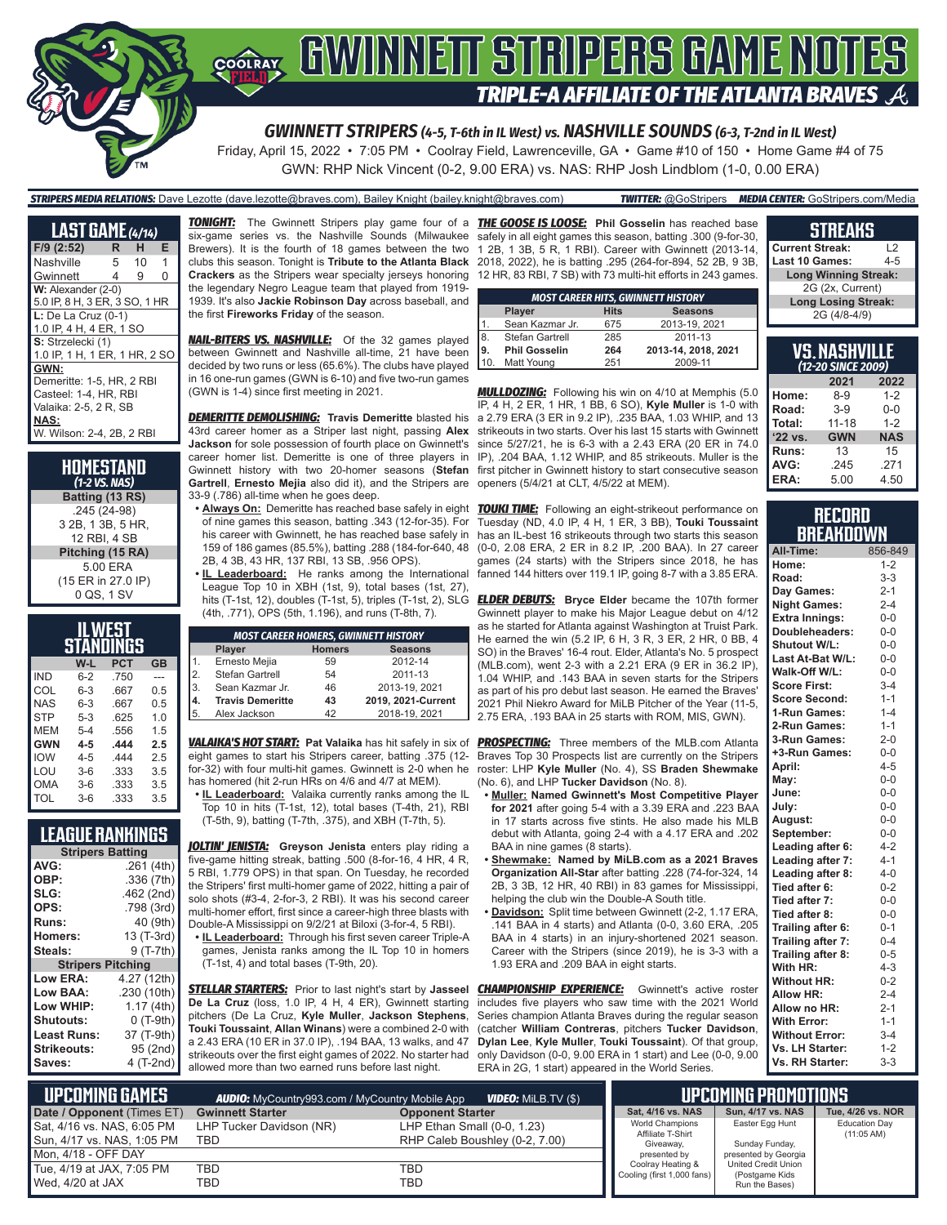

*GWINNETT STRIPERS (4-5, T-6th in IL West) vs. NASHVILLE SOUNDS (6-3, T-2nd in IL West)*

Friday, April 15, 2022 • 7:05 PM • Coolray Field, Lawrenceville, GA • Game #10 of 150 • Home Game #4 of 75 GWN: RHP Nick Vincent (0-2, 9.00 ERA) vs. NAS: RHP Josh Lindblom (1-0, 0.00 ERA)

*STRIPERS MEDIA RELATIONS:* Dave Lezotte (dave.lezotte@braves.com), Bailey Knight (bailey.knight@braves.com) *TWITTER:* @GoStripers *MEDIA CENTER:* GoStripers.com/Media

| <b>LAST GAME</b> (4/14)       |    |    |   |  |  |  |  |  |  |
|-------------------------------|----|----|---|--|--|--|--|--|--|
| F/9 (2:52)                    | R. | н  | Е |  |  |  |  |  |  |
| Nashville                     | 5  | 10 | 1 |  |  |  |  |  |  |
| Gwinnett                      | 4  | 9  | 0 |  |  |  |  |  |  |
| W: Alexander (2-0)            |    |    |   |  |  |  |  |  |  |
| 5.0 IP, 8 H, 3 ER, 3 SO, 1 HR |    |    |   |  |  |  |  |  |  |
| $L:$ De La Cruz (0-1)         |    |    |   |  |  |  |  |  |  |
| 1.0 IP, 4 H, 4 ER, 1 SO       |    |    |   |  |  |  |  |  |  |
| S: Strzelecki (1)             |    |    |   |  |  |  |  |  |  |
| 1.0 IP, 1 H, 1 ER, 1 HR, 2 SO |    |    |   |  |  |  |  |  |  |
| GWN:                          |    |    |   |  |  |  |  |  |  |
| Demeritte: 1-5, HR, 2 RBI     |    |    |   |  |  |  |  |  |  |
| Casteel: 1-4, HR, RBI         |    |    |   |  |  |  |  |  |  |
| Valaika: 2-5, 2 R, SB         |    |    |   |  |  |  |  |  |  |
| <b>NAS:</b>                   |    |    |   |  |  |  |  |  |  |
| W. Wilson: 2-4, 2B, 2 RBI     |    |    |   |  |  |  |  |  |  |

**HOMESTAND** *(1-2 VS. NAS)* **Batting (13 RS)** .245 (24-98) 3 2B, 1 3B, 5 HR, 12 RBI, 4 SB **Pitching (15 RA)** 5.00 ERA (15 ER in 27.0 IP) 0 QS, 1 SV

| LWEST<br>STANDINGS |         |            |                |  |  |  |  |  |
|--------------------|---------|------------|----------------|--|--|--|--|--|
|                    | W-L     | <b>PCT</b> | GB             |  |  |  |  |  |
| IND                | $6 - 2$ | .750       |                |  |  |  |  |  |
| COL                | $6 - 3$ | .667       | 0.5            |  |  |  |  |  |
| <b>NAS</b>         | $6 - 3$ | .667       | 0.5            |  |  |  |  |  |
| <b>STP</b>         | $5-3$   | .625       | 1 <sub>0</sub> |  |  |  |  |  |
| <b>MFM</b>         | $5 - 4$ | .556       | 1.5            |  |  |  |  |  |
| <b>GWN</b>         | 4-5     | .444       | 2.5            |  |  |  |  |  |
| <b>IOW</b>         | $4 - 5$ | 444        | 2.5            |  |  |  |  |  |
| LOU                | $3-6$   | .333       | 3.5            |  |  |  |  |  |
| OMA                | $3-6$   | .333       | 3.5            |  |  |  |  |  |
| TOL                | $3-6$   | .333       | 3.5            |  |  |  |  |  |

### **LEAGUE RANKINGS**

|                          | <b>Stripers Batting</b> |  |  |  |  |  |  |  |
|--------------------------|-------------------------|--|--|--|--|--|--|--|
| AVG:                     | .261 (4th)              |  |  |  |  |  |  |  |
| OBP:                     | .336(7th)               |  |  |  |  |  |  |  |
| SLG:                     | .462 (2nd)              |  |  |  |  |  |  |  |
| OPS:                     | .798 (3rd)              |  |  |  |  |  |  |  |
| Runs:                    | 40 (9th)                |  |  |  |  |  |  |  |
| <b>Homers:</b>           | 13 (T-3rd)              |  |  |  |  |  |  |  |
| Steals:                  | 9 (T-7th)               |  |  |  |  |  |  |  |
| <b>Stripers Pitching</b> |                         |  |  |  |  |  |  |  |
| Low ERA:                 | 4.27 (12th)             |  |  |  |  |  |  |  |
| Low BAA:                 | .230 (10th)             |  |  |  |  |  |  |  |
| Low WHIP:                | 1.17 (4th)              |  |  |  |  |  |  |  |
| <b>Shutouts:</b>         | 0 (T-9th)               |  |  |  |  |  |  |  |
| Least Runs:              | 37 (T-9th)              |  |  |  |  |  |  |  |
| <b>Strikeouts:</b>       | 95 (2nd)                |  |  |  |  |  |  |  |
| Saves:                   | 4 (T-2nd)               |  |  |  |  |  |  |  |

*TONIGHT:* The Gwinnett Stripers play game four of a *THE GOOSE IS LOOSE:* **Phil Gosselin** has reached base six-game series vs. the Nashville Sounds (Milwaukee the legendary Negro League team that played from 1919- 1939. It's also **Jackie Robinson Day** across baseball, and the first **Fireworks Friday** of the season.

*NAIL-BITERS VS. NASHVILLE:* Of the 32 games played between Gwinnett and Nashville all-time, 21 have been decided by two runs or less (65.6%). The clubs have played in 16 one-run games (GWN is 6-10) and five two-run games (GWN is 1-4) since first meeting in 2021.

*DEMERITTE DEMOLISHING:* **Travis Demeritte** blasted his 43rd career homer as a Striper last night, passing **Alex Jackson** for sole possession of fourth place on Gwinnett's career homer list. Demeritte is one of three players in Gwinnett history with two 20-homer seasons (**Stefan**  first pitcher in Gwinnett history to start consecutive season **Gartrell**, **Ernesto Mejia** also did it), and the Stripers are 33-9 (.786) all-time when he goes deep.

**• Always On:** Demeritte has reached base safely in eight of nine games this season, batting .343 (12-for-35). For his career with Gwinnett, he has reached base safely in 159 of 186 games (85.5%), batting .288 (184-for-640, 48 2B, 4 3B, 43 HR, 137 RBI, 13 SB, .956 OPS).

**• IL Leaderboard:** He ranks among the International League Top 10 in XBH (1st, 9), total bases (1st, 27), hits (T-1st, 12), doubles (T-1st, 5), triples (T-1st, 2), SLG (4th, .771), OPS (5th, 1.196), and runs (T-8th, 7).

| <b>MOST CAREER HOMERS, GWINNETT HISTORY</b> |                         |               |                    |  |  |  |  |  |
|---------------------------------------------|-------------------------|---------------|--------------------|--|--|--|--|--|
|                                             | Player                  | <b>Homers</b> | <b>Seasons</b>     |  |  |  |  |  |
| I1.                                         | Ernesto Mejia           | 59            | 2012-14            |  |  |  |  |  |
| 2.                                          | Stefan Gartrell         | 54            | 2011-13            |  |  |  |  |  |
| İз.                                         | Sean Kazmar Jr.         | 46            | 2013-19, 2021      |  |  |  |  |  |
| 14.                                         | <b>Travis Demeritte</b> | 43            | 2019, 2021-Current |  |  |  |  |  |
| 5.                                          | Alex Jackson            | 42            | 2018-19, 2021      |  |  |  |  |  |

eight games to start his Stripers career, batting .375 (12 for-32) with four multi-hit games. Gwinnett is 2-0 when he has homered (hit 2-run HRs on 4/6 and 4/7 at MEM).

**• IL Leaderboard:** Valaika currently ranks among the IL Top 10 in hits (T-1st, 12), total bases (T-4th, 21), RBI (T-5th, 9), batting (T-7th, .375), and XBH (T-7th, 5).

*JOLTIN' JENISTA:* **Greyson Jenista** enters play riding a five-game hitting streak, batting .500 (8-for-16, 4 HR, 4 R, 5 RBI, 1.779 OPS) in that span. On Tuesday, he recorded the Stripers' first multi-homer game of 2022, hitting a pair of solo shots (#3-4, 2-for-3, 2 RBI). It was his second career multi-homer effort, first since a career-high three blasts with Double-A Mississippi on 9/2/21 at Biloxi (3-for-4, 5 RBI).

**• IL Leaderboard:** Through his first seven career Triple-A games, Jenista ranks among the IL Top 10 in homers (T-1st, 4) and total bases (T-9th, 20).

*STELLAR STARTERS:* Prior to last night's start by **Jasseel De La Cruz** (loss, 1.0 IP, 4 H, 4 ER), Gwinnett starting pitchers (De La Cruz, **Kyle Muller**, **Jackson Stephens**, **Touki Toussaint**, **Allan Winans**) were a combined 2-0 with a 2.43 ERA (10 ER in 37.0 IP), .194 BAA, 13 walks, and 47 strikeouts over the first eight games of 2022. No starter had allowed more than two earned runs before last night.

Brewers). It is the fourth of 18 games between the two 1 2B, 1 3B, 5 R, 1 RBI). Career with Gwinnett (2013-14, clubs this season. Tonight is **Tribute to the Atlanta Black**  2018, 2022), he is batting .295 (264-for-894, 52 2B, 9 3B, **Crackers** as the Stripers wear specialty jerseys honoring 12 HR, 83 RBI, 7 SB) with 73 multi-hit efforts in 243 games. safely in all eight games this season, batting .300 (9-for-30,

|      | <b>MOST CAREER HITS, GWINNETT HISTORY</b> |     |                     |  |  |  |  |  |  |
|------|-------------------------------------------|-----|---------------------|--|--|--|--|--|--|
|      | <b>Seasons</b><br><b>Hits</b><br>Player   |     |                     |  |  |  |  |  |  |
|      | Sean Kazmar Jr.                           | 675 | 2013-19, 2021       |  |  |  |  |  |  |
| 8.   | Stefan Gartrell                           | 285 | 2011-13             |  |  |  |  |  |  |
| ، 9، | <b>Phil Gosselin</b>                      | 264 | 2013-14, 2018, 2021 |  |  |  |  |  |  |
| 10.  | Matt Young                                | 251 | 2009-11             |  |  |  |  |  |  |

*MULLDOZING:* Following his win on 4/10 at Memphis (5.0 IP, 4 H, 2 ER, 1 HR, 1 BB, 6 SO), **Kyle Muller** is 1-0 with a 2.79 ERA (3 ER in 9.2 IP), .235 BAA, 1.03 WHIP, and 13 strikeouts in two starts. Over his last 15 starts with Gwinnett since 5/27/21, he is 6-3 with a 2.43 ERA (20 ER in 74.0 IP), .204 BAA, 1.12 WHIP, and 85 strikeouts. Muller is the openers (5/4/21 at CLT, 4/5/22 at MEM).

*TOUKI TIME:* Following an eight-strikeout performance on Tuesday (ND, 4.0 IP, 4 H, 1 ER, 3 BB), **Touki Toussaint** has an IL-best 16 strikeouts through two starts this season (0-0, 2.08 ERA, 2 ER in 8.2 IP, .200 BAA). In 27 career games (24 starts) with the Stripers since 2018, he has fanned 144 hitters over 119.1 IP, going 8-7 with a 3.85 ERA.

*ELDER DEBUTS:* **Bryce Elder** became the 107th former Gwinnett player to make his Major League debut on 4/12 as he started for Atlanta against Washington at Truist Park. He earned the win (5.2 IP, 6 H, 3 R, 3 ER, 2 HR, 0 BB, 4 SO) in the Braves' 16-4 rout. Elder, Atlanta's No. 5 prospect (MLB.com), went 2-3 with a 2.21 ERA (9 ER in 36.2 IP), 1.04 WHIP, and .143 BAA in seven starts for the Stripers as part of his pro debut last season. He earned the Braves' 2021 Phil Niekro Award for MiLB Pitcher of the Year (11-5, 2.75 ERA, .193 BAA in 25 starts with ROM, MIS, GWN).

*VALAIKA'S HOT START:* **Pat Valaika** has hit safely in six of *PROSPECTING:* Three members of the MLB.com Atlanta Braves Top 30 Prospects list are currently on the Stripers roster: LHP **Kyle Muller** (No. 4), SS **Braden Shewmake**  (No. 6), and LHP **Tucker Davidson** (No. 8).

- **• Muller: Named Gwinnett's Most Competitive Player for 2021** after going 5-4 with a 3.39 ERA and .223 BAA in 17 starts across five stints. He also made his MLB debut with Atlanta, going 2-4 with a 4.17 ERA and .202 BAA in nine games (8 starts).
- **• Shewmake: Named by MiLB.com as a 2021 Braves Organization All-Star** after batting .228 (74-for-324, 14 2B, 3 3B, 12 HR, 40 RBI) in 83 games for Mississippi, helping the club win the Double-A South title.
- **• Davidson:** Split time between Gwinnett (2-2, 1.17 ERA, .141 BAA in 4 starts) and Atlanta (0-0, 3.60 ERA, .205 BAA in 4 starts) in an injury-shortened 2021 season. Career with the Stripers (since 2019), he is 3-3 with a 1.93 ERA and .209 BAA in eight starts.

**CHAMPIONSHIP EXPERIENCE:** Gwinnett's active roster includes five players who saw time with the 2021 World Series champion Atlanta Braves during the regular season (catcher **William Contreras**, pitchers **Tucker Davidson**, **Dylan Lee**, **Kyle Muller**, **Touki Toussaint**). Of that group, only Davidson (0-0, 9.00 ERA in 1 start) and Lee (0-0, 9.00 ERA in 2G, 1 start) appeared in the World Series.

| .                           |                |  |  |  |  |
|-----------------------------|----------------|--|--|--|--|
| <b>Current Streak:</b>      | $\overline{2}$ |  |  |  |  |
| <b>Last 10 Games:</b>       | 4-5            |  |  |  |  |
| <b>Long Winning Streak:</b> |                |  |  |  |  |
| 2G (2x, Current)            |                |  |  |  |  |

**STREAKS**

**Long Losing Streak:** 2G (4/8-4/9)

| VS.NASHVILLE<br>(12-20 SINCE 2009) |            |            |  |  |  |  |  |  |
|------------------------------------|------------|------------|--|--|--|--|--|--|
| 2021<br>2022                       |            |            |  |  |  |  |  |  |
| Home:                              | $8 - 9$    | $1 - 2$    |  |  |  |  |  |  |
| Road:                              | $3-9$      | $0 - 0$    |  |  |  |  |  |  |
| Total:                             | $11 - 18$  | $1 - 2$    |  |  |  |  |  |  |
| '22 vs.                            | <b>GWN</b> | <b>NAS</b> |  |  |  |  |  |  |
| Runs:                              | 13         | 15         |  |  |  |  |  |  |
| AVG:                               | .245       | .271       |  |  |  |  |  |  |
| ERA:                               | 5.00       | 4.50       |  |  |  |  |  |  |

### **RECORD BREAKDOWN**

| All-Time:             | 856-849 |
|-----------------------|---------|
| Home:                 | $1 - 2$ |
| Road:                 | $3 - 3$ |
| Day Games:            | $2 - 1$ |
| <b>Night Games:</b>   | $2 - 4$ |
| <b>Extra Innings:</b> | $0-0$   |
| Doubleheaders:        | $0 - 0$ |
| Shutout W/L:          | $0-0$   |
| Last At-Bat W/L:      | $0-0$   |
| Walk-Off W/L:         | $0-0$   |
| <b>Score First:</b>   | $3 - 4$ |
| <b>Score Second:</b>  | $1 - 1$ |
| 1-Run Games:          | $1 - 4$ |
| 2-Run Games:          | $1 - 1$ |
| 3-Run Games:          | $2 - 0$ |
| +3-Run Games:         | $0 - 0$ |
| April:                | $4 - 5$ |
| May:                  | $0-0$   |
| June:                 | $0-0$   |
| July:                 | $0-0$   |
| August:               | $0-0$   |
| September:            | $0 - 0$ |
| Leading after 6:      | $4 - 2$ |
| Leading after 7:      | $4 - 1$ |
| Leading after 8:      | $4 - 0$ |
| Tied after 6:         | $0 - 2$ |
| Tied after 7:         | $0 - 0$ |
| Tied after 8:         | $0 - 0$ |
| Trailing after 6:     | $0 - 1$ |
| Trailing after 7:     | $0 - 4$ |
| Trailing after 8:     | $0 - 5$ |
| With HR:              | $4 - 3$ |
| <b>Without HR:</b>    | $0 - 2$ |
| <b>Allow HR:</b>      | $2 - 4$ |
| Allow no HR:          | $2 - 1$ |
| <b>With Error:</b>    | $1 - 1$ |
| <b>Without Error:</b> | $3-4$   |
| Vs. LH Starter:       | $1 - 2$ |
| Vs. RH Starter:       | $3 - 3$ |

| <b>UPCOMING GAMES</b>      | <b>AUDIO:</b> MyCountry993.com / MyCountry Mobile App | <b>VIDEO:</b> MILB.TV $(\$)$   | I UPCOMING PROMOTIONS <b>'</b>                  |                                       |                      |  |  |
|----------------------------|-------------------------------------------------------|--------------------------------|-------------------------------------------------|---------------------------------------|----------------------|--|--|
| Date / Opponent (Times ET) | <b>Gwinnett Starter</b>                               | <b>Opponent Starter</b>        | Sat. 4/16 vs. NAS                               | <b>Sun. 4/17 vs. NAS</b>              | Tue, 4/26 vs. NOR    |  |  |
| Sat, 4/16 vs. NAS, 6:05 PM | LHP Tucker Davidson (NR)                              | LHP Ethan Small (0-0, 1.23)    | <b>World Champions</b><br>Affiliate T-Shirt     | Easter Egg Hunt                       | <b>Education Day</b> |  |  |
| Sun, 4/17 vs. NAS, 1:05 PM | TBD                                                   | RHP Caleb Boushley (0-2, 7.00) | Giveaway,                                       | Sunday Funday,                        | $(11:05 \text{ AM})$ |  |  |
| Mon, 4/18 - OFF DAY        |                                                       |                                | presented by                                    | presented by Georgia                  |                      |  |  |
| Tue, 4/19 at JAX, 7:05 PM  | TBD                                                   | TBD                            | Coolray Heating &<br>Cooling (first 1,000 fans) | United Credit Union<br>(Postgame Kids |                      |  |  |
| Wed. 4/20 at JAX           | TBD                                                   | TBD                            |                                                 | Run the Bases)                        |                      |  |  |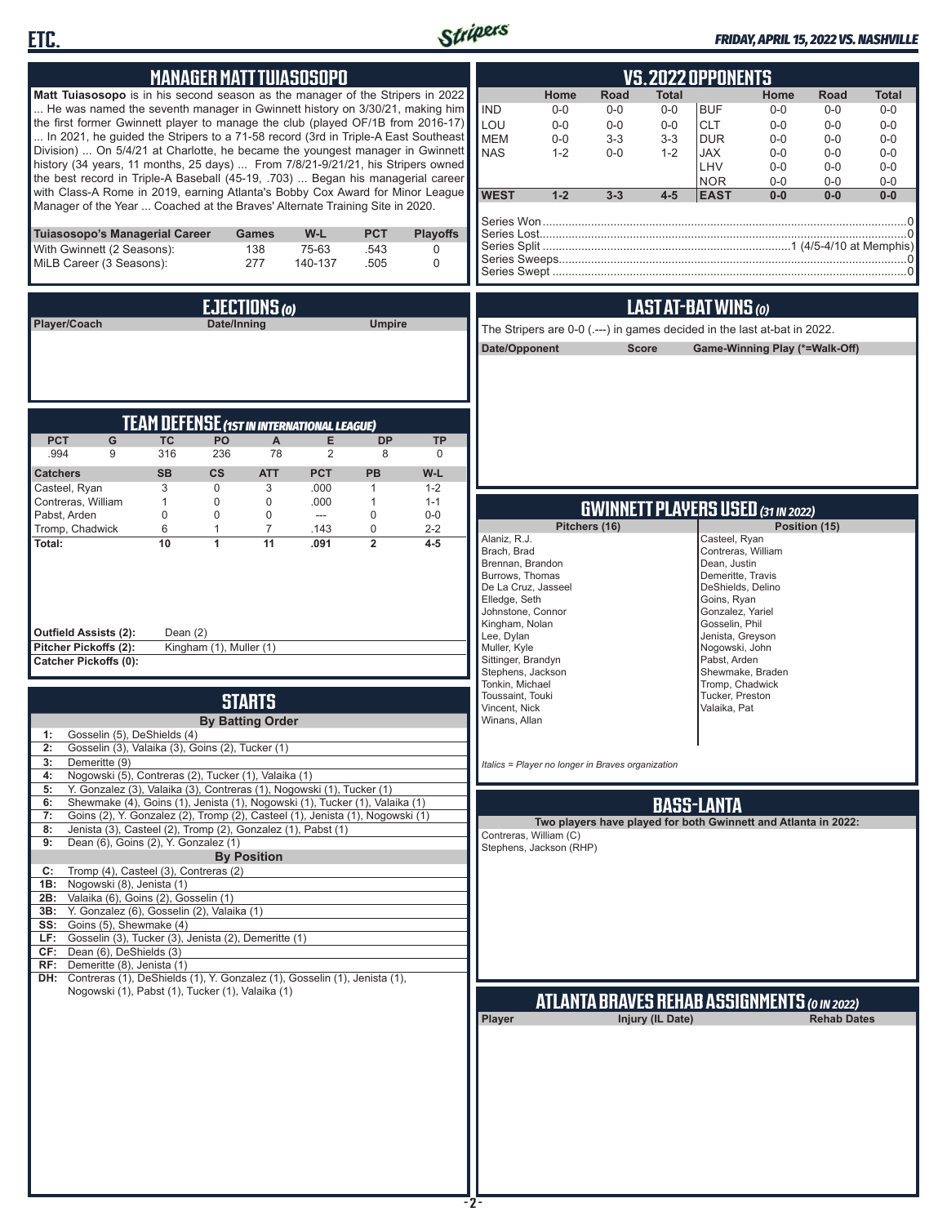



### *FRIDAY, APRIL 15, 2022 VS. NASHVILLE*

| <b>MANAGER MATT TUIASOSOPO</b>                                                                                                                                     |                                                                               |                         |                    |                           | <b>VS.2022 OPPONENTS</b> |                                     |                                                                          |              |                  |                                     |                                           |                                                                |                |
|--------------------------------------------------------------------------------------------------------------------------------------------------------------------|-------------------------------------------------------------------------------|-------------------------|--------------------|---------------------------|--------------------------|-------------------------------------|--------------------------------------------------------------------------|--------------|------------------|-------------------------------------|-------------------------------------------|----------------------------------------------------------------|----------------|
| Matt Tuiasosopo is in his second season as the manager of the Stripers in 2022                                                                                     |                                                                               | Home                    | Road               | <b>Total</b>              |                          | Home                                | Road                                                                     | Total        |                  |                                     |                                           |                                                                |                |
| He was named the seventh manager in Gwinnett history on 3/30/21, making him                                                                                        |                                                                               |                         |                    |                           |                          | <b>IND</b>                          | $0-0$                                                                    | $0-0$        | $0-0$            | <b>BUF</b>                          | $0-0$                                     | $0-0$                                                          | $0-0$          |
| the first former Gwinnett player to manage the club (played OF/1B from 2016-17)                                                                                    |                                                                               |                         |                    |                           |                          | LOU                                 | $0-0$                                                                    | $0-0$        | $0-0$            | <b>CLT</b>                          | $0 - 0$                                   | $0 - 0$                                                        | $0 - 0$        |
| In 2021, he guided the Stripers to a 71-58 record (3rd in Triple-A East Southeast<br>Division)  On 5/4/21 at Charlotte, he became the youngest manager in Gwinnett |                                                                               |                         |                    |                           |                          | <b>MEM</b>                          | $0-0$                                                                    | $3-3$        | $3-3$            | <b>DUR</b>                          | $0 - 0$                                   | $0 - 0$                                                        | $0-0$          |
| history (34 years, 11 months, 25 days)  From 7/8/21-9/21/21, his Stripers owned                                                                                    |                                                                               |                         |                    |                           |                          | <b>NAS</b>                          | $1 - 2$                                                                  | $0-0$        | $1 - 2$          | <b>JAX</b><br>LHV                   | $0 - 0$<br>$0 - 0$                        | $0 - 0$<br>$0 - 0$                                             | $0-0$<br>$0-0$ |
| the best record in Triple-A Baseball (45-19, .703)  Began his managerial career                                                                                    |                                                                               |                         |                    |                           |                          |                                     |                                                                          |              |                  | <b>NOR</b>                          | $0 - 0$                                   | $0 - 0$                                                        | $0-0$          |
|                                                                                                                                                                    | with Class-A Rome in 2019, earning Atlanta's Bobby Cox Award for Minor League |                         |                    |                           |                          |                                     |                                                                          | $3 - 3$      | $4-5$            | <b>EAST</b>                         | $0-0$                                     | $0-0$                                                          | $0-0$          |
|                                                                                                                                                                    | Manager of the Year  Coached at the Braves' Alternate Training Site in 2020.  |                         |                    |                           |                          |                                     |                                                                          |              |                  |                                     |                                           |                                                                |                |
| Tuiasosopo's Managerial Career                                                                                                                                     |                                                                               | <b>Games</b>            | $W-L$              | <b>PCT</b>                | <b>Playoffs</b>          |                                     |                                                                          |              |                  |                                     |                                           |                                                                |                |
| With Gwinnett (2 Seasons):                                                                                                                                         |                                                                               | 138                     | 75-63              | .543                      | 0                        |                                     |                                                                          |              |                  |                                     |                                           |                                                                |                |
| MiLB Career (3 Seasons):                                                                                                                                           |                                                                               | 277                     | 140-137            | .505                      | $\mathbf 0$              |                                     |                                                                          |              |                  |                                     |                                           |                                                                |                |
|                                                                                                                                                                    |                                                                               |                         |                    |                           |                          |                                     |                                                                          |              |                  |                                     |                                           |                                                                |                |
|                                                                                                                                                                    |                                                                               | EJECTIONS (0)           |                    |                           |                          |                                     |                                                                          |              |                  | LAST AT-BAT WINS (0)                |                                           |                                                                |                |
| Player/Coach                                                                                                                                                       |                                                                               | Date/Inning             |                    | <b>Umpire</b>             |                          |                                     | The Stripers are 0-0 (.---) in games decided in the last at-bat in 2022. |              |                  |                                     |                                           |                                                                |                |
|                                                                                                                                                                    |                                                                               |                         |                    |                           |                          | Date/Opponent                       |                                                                          | <b>Score</b> |                  |                                     |                                           | Game-Winning Play (*=Walk-Off)                                 |                |
|                                                                                                                                                                    |                                                                               |                         |                    |                           |                          |                                     |                                                                          |              |                  |                                     |                                           |                                                                |                |
|                                                                                                                                                                    |                                                                               |                         |                    |                           |                          |                                     |                                                                          |              |                  |                                     |                                           |                                                                |                |
|                                                                                                                                                                    |                                                                               |                         |                    |                           |                          |                                     |                                                                          |              |                  |                                     |                                           |                                                                |                |
|                                                                                                                                                                    |                                                                               |                         |                    |                           |                          |                                     |                                                                          |              |                  |                                     |                                           |                                                                |                |
|                                                                                                                                                                    | <b>TEAM DEFENSE (1ST IN INTERNATIONAL LEAGUE)</b>                             |                         |                    |                           |                          |                                     |                                                                          |              |                  |                                     |                                           |                                                                |                |
| <b>PCT</b><br>G<br>.994<br>9                                                                                                                                       | PO<br><b>TC</b><br>316<br>236                                                 | A<br>78                 | E<br>2             | <b>DP</b><br>8            | <b>TP</b><br>0           |                                     |                                                                          |              |                  |                                     |                                           |                                                                |                |
|                                                                                                                                                                    |                                                                               |                         |                    |                           |                          |                                     |                                                                          |              |                  |                                     |                                           |                                                                |                |
| <b>Catchers</b><br>Casteel, Ryan                                                                                                                                   | <b>SB</b><br>$\mathsf{cs}$<br>3<br>0                                          | <b>ATT</b><br>3         | <b>PCT</b><br>.000 | <b>PB</b><br>$\mathbf{1}$ | W-L<br>$1 - 2$           |                                     |                                                                          |              |                  |                                     |                                           |                                                                |                |
| Contreras, William                                                                                                                                                 | $\mathbf{1}$<br>0                                                             | 0                       | .000               | $\mathbf{1}$              | $1 - 1$                  |                                     |                                                                          |              |                  |                                     |                                           |                                                                |                |
| Pabst, Arden                                                                                                                                                       | $\mathbf 0$<br>0                                                              | 0                       | ---                | 0                         | $0-0$                    |                                     |                                                                          |              |                  |                                     | <b>GWINNETT PLAYERS USED (31 IN 2022)</b> |                                                                |                |
| Tromp, Chadwick<br>Total:                                                                                                                                          | 6<br>$\mathbf{1}$<br>10<br>1                                                  | $\overline{7}$<br>11    | .143<br>.091       | 0<br>$\overline{2}$       | $2 - 2$<br>$4 - 5$       | Alaniz, R.J.                        | Pitchers (16)                                                            |              |                  | Casteel, Ryan                       |                                           | Position (15)                                                  |                |
|                                                                                                                                                                    |                                                                               |                         |                    |                           |                          | Brach, Brad                         |                                                                          |              |                  | Contreras, William                  |                                           |                                                                |                |
|                                                                                                                                                                    |                                                                               |                         |                    |                           |                          | Brennan, Brandon<br>Burrows, Thomas |                                                                          |              |                  | Dean, Justin<br>Demeritte, Travis   |                                           |                                                                |                |
|                                                                                                                                                                    |                                                                               |                         |                    |                           |                          |                                     | De La Cruz, Jasseel                                                      |              |                  | DeShields, Delino                   |                                           |                                                                |                |
|                                                                                                                                                                    |                                                                               |                         |                    |                           |                          | Elledge, Seth                       | Johnstone, Connor                                                        |              |                  | Goins, Ryan<br>Gonzalez, Yariel     |                                           |                                                                |                |
|                                                                                                                                                                    |                                                                               |                         |                    |                           |                          | Kingham, Nolan                      |                                                                          |              |                  | Gosselin, Phil                      |                                           |                                                                |                |
| <b>Outfield Assists (2):</b><br>Pitcher Pickoffs (2):                                                                                                              | Dean $(2)$<br>Kingham (1), Muller (1)                                         |                         |                    |                           |                          | Lee, Dylan<br>Muller, Kyle          |                                                                          |              |                  | Jenista, Greyson<br>Nogowski, John  |                                           |                                                                |                |
| <b>Catcher Pickoffs (0):</b>                                                                                                                                       |                                                                               |                         |                    |                           |                          | Sittinger, Brandyn                  |                                                                          |              |                  | Pabst, Arden                        |                                           |                                                                |                |
|                                                                                                                                                                    |                                                                               |                         |                    |                           |                          | Tonkin, Michael                     | Stephens, Jackson                                                        |              |                  | Shewmake, Braden<br>Tromp, Chadwick |                                           |                                                                |                |
|                                                                                                                                                                    |                                                                               | <b>STARTS</b>           |                    |                           |                          | Toussaint, Touki                    |                                                                          |              |                  | Tucker, Preston                     |                                           |                                                                |                |
|                                                                                                                                                                    |                                                                               | <b>By Batting Order</b> |                    |                           |                          | Vincent, Nick<br>Winans, Allan      |                                                                          |              |                  | Valaika, Pat                        |                                           |                                                                |                |
| Gosselin (5), DeShields (4)<br>1:                                                                                                                                  |                                                                               |                         |                    |                           |                          |                                     |                                                                          |              |                  |                                     |                                           |                                                                |                |
| Gosselin (3), Valaika (3), Goins (2), Tucker (1)<br>2:                                                                                                             |                                                                               |                         |                    |                           |                          |                                     |                                                                          |              |                  |                                     |                                           |                                                                |                |
| 3:<br>Demeritte (9)                                                                                                                                                |                                                                               |                         |                    |                           |                          |                                     | Italics = Player no longer in Braves organization                        |              |                  |                                     |                                           |                                                                |                |
| Nogowski (5), Contreras (2), Tucker (1), Valaika (1)<br>4:<br>Y. Gonzalez (3), Valaika (3), Contreras (1), Nogowski (1), Tucker (1)<br>5:                          |                                                                               |                         |                    |                           |                          |                                     |                                                                          |              |                  |                                     |                                           |                                                                |                |
| Shewmake (4), Goins (1), Jenista (1), Nogowski (1), Tucker (1), Valaika (1)<br>6:                                                                                  |                                                                               |                         |                    |                           |                          |                                     |                                                                          |              |                  | <b>BASS-LANTA</b>                   |                                           |                                                                |                |
| Goins (2), Y. Gonzalez (2), Tromp (2), Casteel (1), Jenista (1), Nogowski (1)<br>7:                                                                                |                                                                               |                         |                    |                           |                          |                                     |                                                                          |              |                  |                                     |                                           | Two players have played for both Gwinnett and Atlanta in 2022: |                |
| Jenista (3), Casteel (2), Tromp (2), Gonzalez (1), Pabst (1)<br>8:<br>Dean (6), Goins (2), Y. Gonzalez (1)<br>9:                                                   |                                                                               |                         |                    |                           |                          |                                     | Contreras, William (C)                                                   |              |                  |                                     |                                           |                                                                |                |
|                                                                                                                                                                    |                                                                               | <b>By Position</b>      |                    |                           |                          |                                     | Stephens, Jackson (RHP)                                                  |              |                  |                                     |                                           |                                                                |                |
| Tromp (4), Casteel (3), Contreras (2)<br>C:                                                                                                                        |                                                                               |                         |                    |                           |                          |                                     |                                                                          |              |                  |                                     |                                           |                                                                |                |
| 1B: Nogowski (8), Jenista (1)<br>2B: Valaika (6), Goins (2), Gosselin (1)                                                                                          |                                                                               |                         |                    |                           |                          |                                     |                                                                          |              |                  |                                     |                                           |                                                                |                |
| 3B: Y. Gonzalez (6), Gosselin (2), Valaika (1)                                                                                                                     |                                                                               |                         |                    |                           |                          |                                     |                                                                          |              |                  |                                     |                                           |                                                                |                |
| SS: Goins (5), Shewmake (4)                                                                                                                                        |                                                                               |                         |                    |                           |                          |                                     |                                                                          |              |                  |                                     |                                           |                                                                |                |
| LF: Gosselin (3), Tucker (3), Jenista (2), Demeritte (1)<br>CF: Dean (6), DeShields (3)                                                                            |                                                                               |                         |                    |                           |                          |                                     |                                                                          |              |                  |                                     |                                           |                                                                |                |
| RF: Demeritte (8), Jenista (1)                                                                                                                                     |                                                                               |                         |                    |                           |                          |                                     |                                                                          |              |                  |                                     |                                           |                                                                |                |
| DH: Contreras (1), DeShields (1), Y. Gonzalez (1), Gosselin (1), Jenista (1),                                                                                      |                                                                               |                         |                    |                           |                          |                                     |                                                                          |              |                  |                                     |                                           |                                                                |                |
| Nogowski (1), Pabst (1), Tucker (1), Valaika (1)                                                                                                                   |                                                                               |                         |                    |                           |                          |                                     |                                                                          |              |                  |                                     |                                           | ATLANTA BRAVES REHAB ASSIGNMENTS (0 IN 2022)                   |                |
|                                                                                                                                                                    |                                                                               |                         |                    |                           |                          | Player                              |                                                                          |              | Injury (IL Date) |                                     |                                           | <b>Rehab Dates</b>                                             |                |
|                                                                                                                                                                    |                                                                               |                         |                    |                           |                          |                                     |                                                                          |              |                  |                                     |                                           |                                                                |                |
|                                                                                                                                                                    |                                                                               |                         |                    |                           |                          |                                     |                                                                          |              |                  |                                     |                                           |                                                                |                |
|                                                                                                                                                                    |                                                                               |                         |                    |                           |                          |                                     |                                                                          |              |                  |                                     |                                           |                                                                |                |
|                                                                                                                                                                    |                                                                               |                         |                    |                           |                          |                                     |                                                                          |              |                  |                                     |                                           |                                                                |                |
|                                                                                                                                                                    |                                                                               |                         |                    |                           |                          |                                     |                                                                          |              |                  |                                     |                                           |                                                                |                |
|                                                                                                                                                                    |                                                                               |                         |                    |                           |                          |                                     |                                                                          |              |                  |                                     |                                           |                                                                |                |
|                                                                                                                                                                    |                                                                               |                         |                    |                           |                          |                                     |                                                                          |              |                  |                                     |                                           |                                                                |                |
|                                                                                                                                                                    |                                                                               |                         |                    |                           |                          |                                     |                                                                          |              |                  |                                     |                                           |                                                                |                |
|                                                                                                                                                                    |                                                                               |                         |                    |                           |                          |                                     |                                                                          |              |                  |                                     |                                           |                                                                |                |
|                                                                                                                                                                    |                                                                               |                         |                    |                           |                          |                                     |                                                                          |              |                  |                                     |                                           |                                                                |                |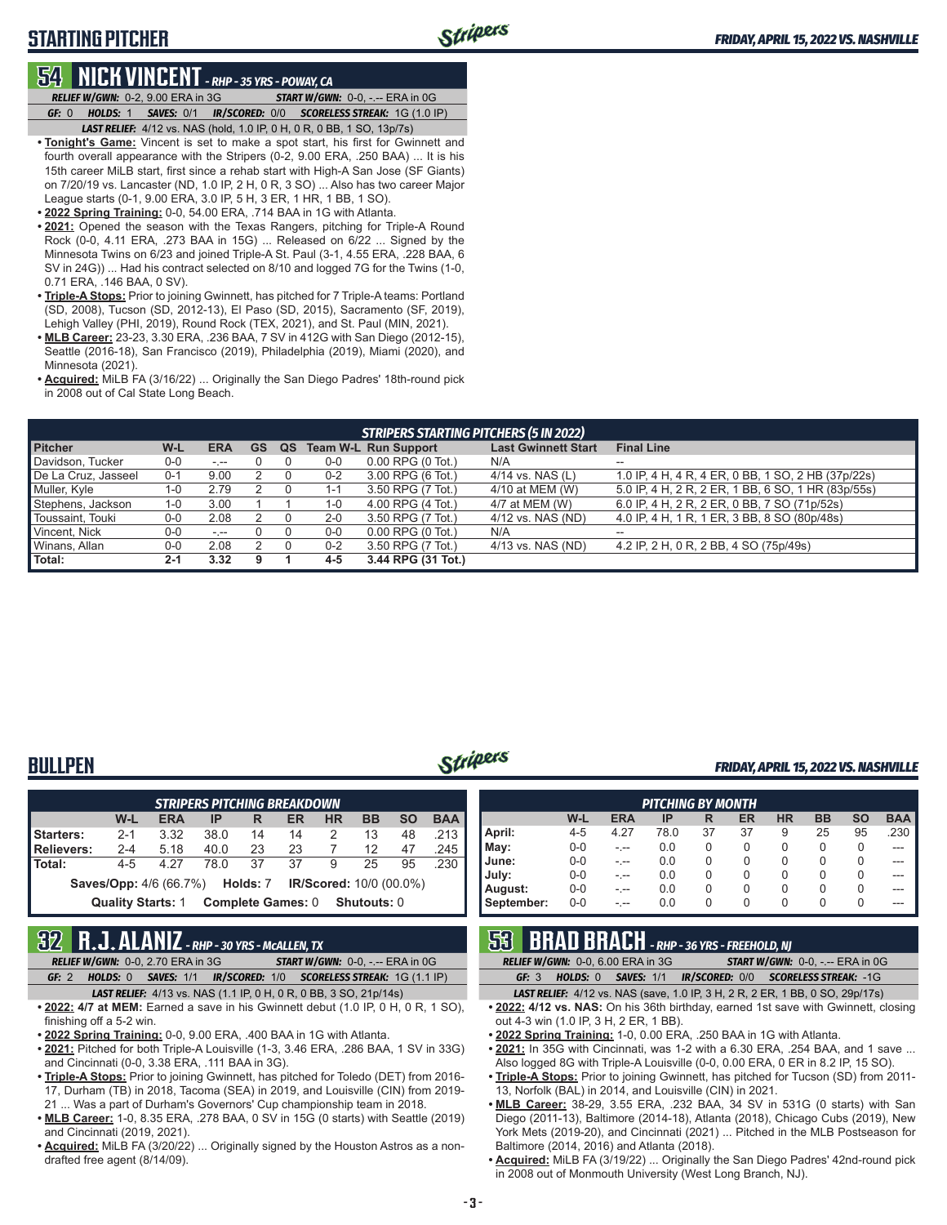# **STARTING PITCHER**

### **54 NICK VINCENT** *- RHP - 35 YRS - POWAY, CA*

*RELIEF W/GWN:*0-2, 9.00 ERA in 3G *START W/GWN:*0-0, -.-- ERA in 0G *GF:*0 *HOLDS:*1 *SAVES:*0/1 *IR/SCORED:*0/0 *SCORELESS STREAK:*1G (1.0 IP)

- *LAST RELIEF:*4/12 vs. NAS (hold, 1.0 IP, 0 H, 0 R, 0 BB, 1 SO, 13p/7s)
- **• Tonight's Game:** Vincent is set to make a spot start, his first for Gwinnett and fourth overall appearance with the Stripers (0-2, 9.00 ERA, .250 BAA) ... It is his 15th career MiLB start, first since a rehab start with High-A San Jose (SF Giants) on 7/20/19 vs. Lancaster (ND, 1.0 IP, 2 H, 0 R, 3 SO) ... Also has two career Major League starts (0-1, 9.00 ERA, 3.0 IP, 5 H, 3 ER, 1 HR, 1 BB, 1 SO).
- **• 2022 Spring Training:** 0-0, 54.00 ERA, .714 BAA in 1G with Atlanta.
- **• 2021:** Opened the season with the Texas Rangers, pitching for Triple-A Round Rock (0-0, 4.11 ERA, .273 BAA in 15G) ... Released on 6/22 ... Signed by the Minnesota Twins on 6/23 and joined Triple-A St. Paul (3-1, 4.55 ERA, .228 BAA, 6 SV in 24G)) ... Had his contract selected on 8/10 and logged 7G for the Twins (1-0, 0.71 ERA, .146 BAA, 0 SV).
- **• Triple-A Stops:** Prior to joining Gwinnett, has pitched for 7 Triple-A teams: Portland (SD, 2008), Tucson (SD, 2012-13), El Paso (SD, 2015), Sacramento (SF, 2019), Lehigh Valley (PHI, 2019), Round Rock (TEX, 2021), and St. Paul (MIN, 2021).
- **• MLB Career:** 23-23, 3.30 ERA, .236 BAA, 7 SV in 412G with San Diego (2012-15), Seattle (2016-18), San Francisco (2019), Philadelphia (2019), Miami (2020), and Minnesota (2021)
- **• Acquired:** MiLB FA (3/16/22) ... Originally the San Diego Padres' 18th-round pick in 2008 out of Cal State Long Beach.

| <b>STRIPERS STARTING PITCHERS (5 IN 2022)</b> |         |            |    |    |         |                             |                            |                                                    |  |  |
|-----------------------------------------------|---------|------------|----|----|---------|-----------------------------|----------------------------|----------------------------------------------------|--|--|
| <b>Pitcher</b>                                | W-L     | <b>ERA</b> | GS | QS |         | <b>Team W-L Run Support</b> | <b>Last Gwinnett Start</b> | <b>Final Line</b>                                  |  |  |
| Davidson, Tucker                              | 0-0     | المعرف     |    |    | 0-0     | $0.00$ RPG $(0$ Tot.)       | N/A                        | $-$                                                |  |  |
| De La Cruz, Jasseel                           | $0 - 1$ | 9.00       |    |    | $0 - 2$ | 3.00 RPG (6 Tot.)           | 4/14 vs. NAS $(L)$         | 1.0 IP, 4 H, 4 R, 4 ER, 0 BB, 1 SO, 2 HB (37p/22s) |  |  |
| Muller, Kyle                                  | 1-0     | 2.79       |    |    | 1-1     | 3.50 RPG (7 Tot.)           | 4/10 at MEM (W)            | 5.0 IP, 4 H, 2 R, 2 ER, 1 BB, 6 SO, 1 HR (83p/55s) |  |  |
| Stephens, Jackson                             | 1-0     | 3.00       |    |    | $1 - 0$ | 4.00 RPG (4 Tot.)           | 4/7 at MEM (W)             | 6.0 IP, 4 H, 2 R, 2 ER, 0 BB, 7 SO (71p/52s)       |  |  |
| Toussaint, Touki                              | 0-0     | 2.08       |    |    | $2 - 0$ | 3.50 RPG (7 Tot.)           | 4/12 vs. NAS (ND)          | 4.0 IP, 4 H, 1 R, 1 ER, 3 BB, 8 SO (80p/48s)       |  |  |
| Vincent, Nick                                 | 0-0     | $- - -$    |    |    | 0-0     | 0.00 RPG (0 Tot.)           | N/A                        | $\overline{\phantom{a}}$                           |  |  |
| Winans, Allan                                 | 0-0     | 2.08       |    |    | $0 - 2$ | 3.50 RPG (7 Tot.)           | 4/13 vs. NAS (ND)          | 4.2 IP, 2 H, 0 R, 2 BB, 4 SO (75p/49s)             |  |  |
| Total:                                        | $2 - 1$ | 3.32       | 9  |    | 4-5     | 3.44 RPG (31 Tot.)          |                            |                                                    |  |  |

# **BULLPEN** *FRIDAY, APRIL 15, 2022 VS. NASHVILLE*

| <b>STRIPERS PITCHING BREAKDOWN</b>                                                      |         |      |      |    |    |   |    |    |          |  |  |
|-----------------------------------------------------------------------------------------|---------|------|------|----|----|---|----|----|----------|--|--|
| <b>BAA</b><br><b>BB</b><br><b>SO</b><br>W-L<br><b>ERA</b><br><b>HR</b><br>IP<br>ER<br>R |         |      |      |    |    |   |    |    |          |  |  |
| Starters:                                                                               | $2 - 1$ | 3.32 | 38.0 | 14 | 14 | 2 | 13 | 48 | .213     |  |  |
| Relievers:                                                                              | $2 - 4$ | 5.18 | 40.0 | 23 | 23 |   | 12 | 47 | .245     |  |  |
| l Total:                                                                                | $4 - 5$ | 4.27 | 78.0 | 37 | 37 | 9 | 25 | 95 | $.230$ I |  |  |
| <b>Saves/Opp:</b> 4/6 (66.7%) <b>Holds:</b> 7<br><b>IR/Scored:</b> 10/0 (00.0%)         |         |      |      |    |    |   |    |    |          |  |  |
| <b>Complete Games: 0</b><br><b>Quality Starts: 1</b><br><b>Shutouts: 0</b>              |         |      |      |    |    |   |    |    |          |  |  |

### **32 R.J. ALANIZ** *- RHP - 30 YRS - McALLEN, TX*

- *RELIEF W/GWN:*0-0, 2.70 ERA in 3G *START W/GWN:*0-0, -.-- ERA in 0G *GF:*2 *HOLDS:*0 *SAVES:*1/1 *IR/SCORED:*1/0 *SCORELESS STREAK:*1G (1.1 IP)
- *LAST RELIEF:*4/13 vs. NAS (1.1 IP, 0 H, 0 R, 0 BB, 3 SO, 21p/14s) **• 2022: 4/7 at MEM:** Earned a save in his Gwinnett debut (1.0 IP, 0 H, 0 R, 1 SO), finishing off a 5-2 win.
- **• 2022 Spring Training:** 0-0, 9.00 ERA, .400 BAA in 1G with Atlanta.
- **• 2021:** Pitched for both Triple-A Louisville (1-3, 3.46 ERA, .286 BAA, 1 SV in 33G) and Cincinnati (0-0, 3.38 ERA, .111 BAA in 3G).
- **• Triple-A Stops:** Prior to joining Gwinnett, has pitched for Toledo (DET) from 2016- 17, Durham (TB) in 2018, Tacoma (SEA) in 2019, and Louisville (CIN) from 2019- 21 ... Was a part of Durham's Governors' Cup championship team in 2018.
- **• MLB Career:** 1-0, 8.35 ERA, .278 BAA, 0 SV in 15G (0 starts) with Seattle (2019) and Cincinnati (2019, 2021).
- **• Acquired:** MiLB FA (3/20/22) ... Originally signed by the Houston Astros as a nondrafted free agent (8/14/09).

| <b>PITCHING BY MONTH</b> |         |            |      |    |    |           |           |           |            |
|--------------------------|---------|------------|------|----|----|-----------|-----------|-----------|------------|
|                          | W-L     | <b>ERA</b> | IP   | R  | ER | <b>HR</b> | <b>BB</b> | <b>SO</b> | <b>BAA</b> |
| April:                   | $4 - 5$ | 4.27       | 78.0 | 37 | 37 | 9         | 25        | 95        | .230       |
| May:                     | $0 - 0$ |            | 0.0  | 0  | 0  | 0         | 0         | 0         | ---        |
| June:                    | $0 - 0$ |            | 0.0  | 0  | 0  | 0         | 0         | 0         |            |
| July:                    | $0 - 0$ |            | 0.0  | 0  | 0  | 0         | 0         | 0         |            |
| August:                  | $0 - 0$ |            | 0.0  | 0  | 0  | 0         | 0         | 0         |            |
| September:               | $0 - 0$ |            | 0.0  | 0  | 0  | 0         | 0         | 0         |            |

|     |                                         | <b>53 BRAD BRACH</b> - RHP - 36 YRS - FREEHOLD, NJ |                                                                                                    |
|-----|-----------------------------------------|----------------------------------------------------|----------------------------------------------------------------------------------------------------|
|     | <b>RELIEF W/GWN: 0-0.6.00 ERA in 3G</b> |                                                    | <b>START W/GWN: <math>0-0</math>.</b> -.-- ERA in $0G$                                             |
| GE3 |                                         |                                                    | <b>HOLDS: 0 SAVES: 1/1 IR/SCORED: 0/0 SCORELESS STREAK: -1G</b>                                    |
|     |                                         |                                                    | <b>IACT DELIEE.</b> $A/A2_{10}$ , NAC $log 4.0$ ID $2H$ , $2D$ , $2ED$ , $4DD$ , $0CQ$ , $20p/47q$ |

*LAST RELIEF:*4/12 vs. NAS (save, 1.0 IP, 3 H, 2 R, 2 ER, 1 BB, 0 SO, 29p/17s) **• 2022: 4/12 vs. NAS:** On his 36th birthday, earned 1st save with Gwinnett, closing out 4-3 win (1.0 IP, 3 H, 2 ER, 1 BB).

- **• 2022 Spring Training:** 1-0, 0.00 ERA, .250 BAA in 1G with Atlanta.
- **• 2021:** In 35G with Cincinnati, was 1-2 with a 6.30 ERA, .254 BAA, and 1 save ... Also logged 8G with Triple-A Louisville (0-0, 0.00 ERA, 0 ER in 8.2 IP, 15 SO).
- **• Triple-A Stops:** Prior to joining Gwinnett, has pitched for Tucson (SD) from 2011- 13, Norfolk (BAL) in 2014, and Louisville (CIN) in 2021.
- **• MLB Career:** 38-29, 3.55 ERA, .232 BAA, 34 SV in 531G (0 starts) with San Diego (2011-13), Baltimore (2014-18), Atlanta (2018), Chicago Cubs (2019), New York Mets (2019-20), and Cincinnati (2021) ... Pitched in the MLB Postseason for Baltimore (2014, 2016) and Atlanta (2018).
- **• Acquired:** MiLB FA (3/19/22) ... Originally the San Diego Padres' 42nd-round pick in 2008 out of Monmouth University (West Long Branch, NJ).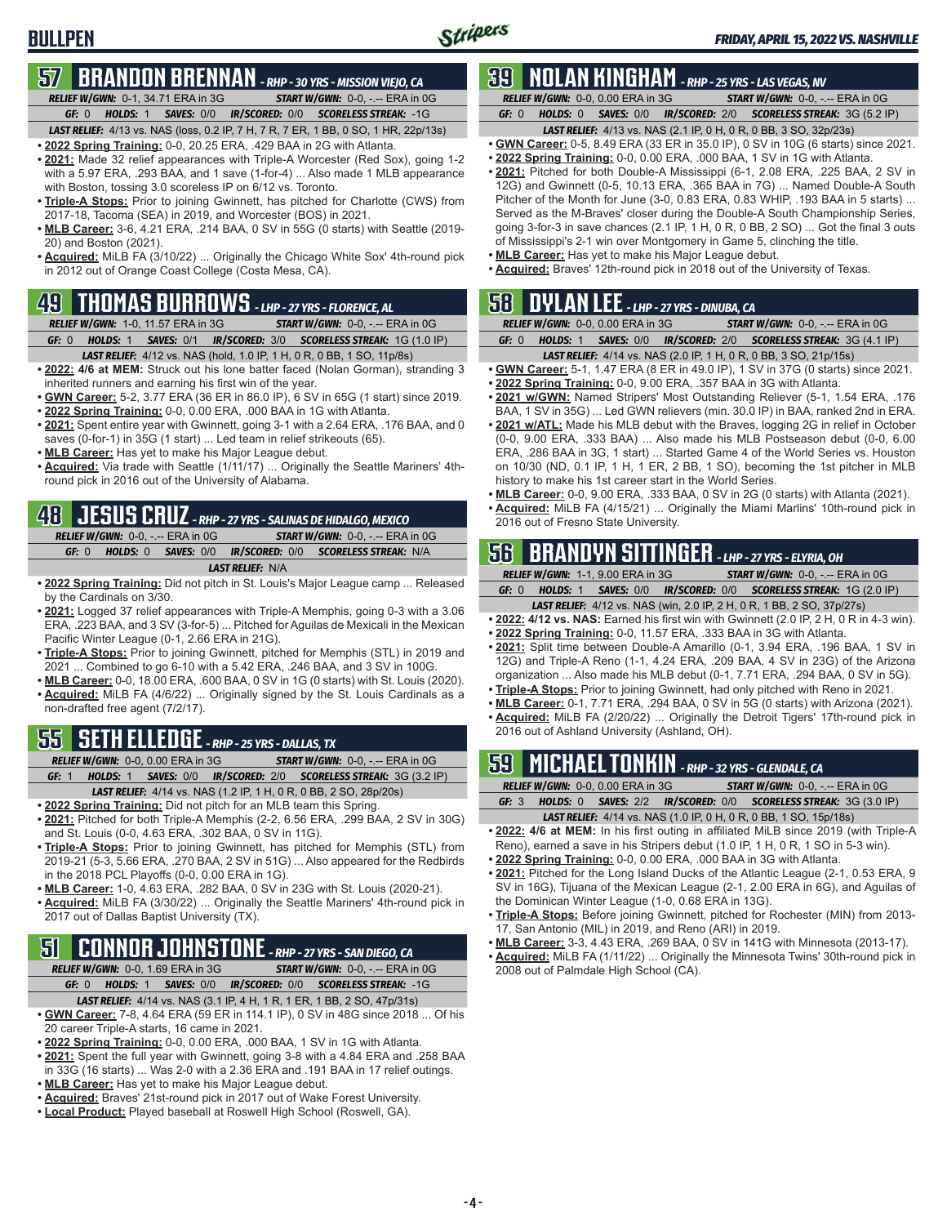### **ERENNAN** - RHP - 30 YRS - MISSION VIEJO, CA *RELIEF W/GWN:*0-1, 34.71 ERA in 3G *START W/GWN:*0-0, -.-- ERA in 0G

*GF:*0 *HOLDS:*1 *SAVES:*0/0 *IR/SCORED:*0/0 *SCORELESS STREAK:*-1G

- *LAST RELIEF:*4/13 vs. NAS (loss, 0.2 IP, 7 H, 7 R, 7 ER, 1 BB, 0 SO, 1 HR, 22p/13s)
- **• 2022 Spring Training:** 0-0, 20.25 ERA, .429 BAA in 2G with Atlanta. **• 2021:** Made 32 relief appearances with Triple-A Worcester (Red Sox), going 1-2
- with a 5.97 ERA, .293 BAA, and 1 save (1-for-4) ... Also made 1 MLB appearance with Boston, tossing 3.0 scoreless IP on 6/12 vs. Toronto.
- **• Triple-A Stops:** Prior to joining Gwinnett, has pitched for Charlotte (CWS) from 2017-18, Tacoma (SEA) in 2019, and Worcester (BOS) in 2021.
- **• MLB Career:** 3-6, 4.21 ERA, .214 BAA, 0 SV in 55G (0 starts) with Seattle (2019- 20) and Boston (2021).
- **• Acquired:** MiLB FA (3/10/22) ... Originally the Chicago White Sox' 4th-round pick in 2012 out of Orange Coast College (Costa Mesa, CA).

## **49 THOMAS BURROWS** *- LHP - 27 YRS - FLORENCE, AL*

### *RELIEF W/GWN:*1-0, 11.57 ERA in 3G *START W/GWN:*0-0, -.-- ERA in 0G

- *GF:*0 *HOLDS:*1 *SAVES:*0/1 *IR/SCORED:*3/0 *SCORELESS STREAK:*1G (1.0 IP)
- *LAST RELIEF:*4/12 vs. NAS (hold, 1.0 IP, 1 H, 0 R, 0 BB, 1 SO, 11p/8s) **• 2022: 4/6 at MEM:** Struck out his lone batter faced (Nolan Gorman), stranding 3
- inherited runners and earning his first win of the year.
- **• GWN Career:** 5-2, 3.77 ERA (36 ER in 86.0 IP), 6 SV in 65G (1 start) since 2019. **• 2022 Spring Training:** 0-0, 0.00 ERA, .000 BAA in 1G with Atlanta.
- **• 2021:** Spent entire year with Gwinnett, going 3-1 with a 2.64 ERA, .176 BAA, and 0 saves (0-for-1) in 35G (1 start) ... Led team in relief strikeouts (65).
- **• MLB Career:** Has yet to make his Major League debut.
- **• Acquired:** Via trade with Seattle (1/11/17) ... Originally the Seattle Mariners' 4thround pick in 2016 out of the University of Alabama.

# **48 JESUS CRUZ** - RHP - 27 YRS - SALINAS DE HIDALGO, MEXICO<br>
<sup>2016</sup> out of Fresno State University.<br>
2016 out of Fresno State University.

*RELIEF W/GWN:*0-0, -.-- ERA in 0G *START W/GWN:*0-0, -.-- ERA in 0G *GF:*0 *HOLDS:*0 *SAVES:*0/0 *IR/SCORED:*0/0 *SCORELESS STREAK:*N/A *LAST RELIEF:*N/A

- 
- **• 2022 Spring Training:** Did not pitch in St. Louis's Major League camp ... Released by the Cardinals on 3/30.
- **• 2021:** Logged 37 relief appearances with Triple-A Memphis, going 0-3 with a 3.06 ERA, .223 BAA, and 3 SV (3-for-5) ... Pitched for Aguilas de Mexicali in the Mexican Pacific Winter League (0-1, 2.66 ERA in 21G).
- **• Triple-A Stops:** Prior to joining Gwinnett, pitched for Memphis (STL) in 2019 and 2021 ... Combined to go 6-10 with a 5.42 ERA, .246 BAA, and 3 SV in 100G.
- **• MLB Career:** 0-0, 18.00 ERA, .600 BAA, 0 SV in 1G (0 starts) with St. Louis (2020).
- **• Acquired:** MiLB FA (4/6/22) ... Originally signed by the St. Louis Cardinals as a non-drafted free agent (7/2/17).

# **55 SETH ELLEDGE** *- RHP - 25 YRS - DALLAS, TX*

- *RELIEF W/GWN:*0-0, 0.00 ERA in 3G *START W/GWN:*0-0, -.-- ERA in 0G
- *GF:*1 *HOLDS:*1 *SAVES:*0/0 *IR/SCORED:*2/0 *SCORELESS STREAK:*3G (3.2 IP) *LAST RELIEF:*4/14 vs. NAS (1.2 IP, 1 H, 0 R, 0 BB, 2 SO, 28p/20s)
- **• 2022 Spring Training:** Did not pitch for an MLB team this Spring.
- **• 2021:** Pitched for both Triple-A Memphis (2-2, 6.56 ERA, .299 BAA, 2 SV in 30G) and St. Louis (0-0, 4.63 ERA, .302 BAA, 0 SV in 11G).
- **• Triple-A Stops:** Prior to joining Gwinnett, has pitched for Memphis (STL) from 2019-21 (5-3, 5.66 ERA, .270 BAA, 2 SV in 51G) ... Also appeared for the Redbirds in the 2018 PCL Playoffs (0-0, 0.00 ERA in 1G).
- **• MLB Career:** 1-0, 4.63 ERA, .282 BAA, 0 SV in 23G with St. Louis (2020-21).
- **• Acquired:** MiLB FA (3/30/22) ... Originally the Seattle Mariners' 4th-round pick in 2017 out of Dallas Baptist University (TX).

## **51 CONNOR JOHNSTONE** *- RHP - 27 YRS - SAN DIEGO, CA*

- *RELIEF W/GWN:*0-0, 1.69 ERA in 3G *START W/GWN:*0-0, -.-- ERA in 0G *GF:*0 *HOLDS:*1 *SAVES:*0/0 *IR/SCORED:*0/0 *SCORELESS STREAK:*-1G
- *LAST RELIEF:*4/14 vs. NAS (3.1 IP, 4 H, 1 R, 1 ER, 1 BB, 2 SO, 47p/31s) **• GWN Career:** 7-8, 4.64 ERA (59 ER in 114.1 IP), 0 SV in 48G since 2018 ... Of his 20 career Triple-A starts, 16 came in 2021.
- **• 2022 Spring Training:** 0-0, 0.00 ERA, .000 BAA, 1 SV in 1G with Atlanta.
- **• 2021:** Spent the full year with Gwinnett, going 3-8 with a 4.84 ERA and .258 BAA in 33G (16 starts) ... Was 2-0 with a 2.36 ERA and .191 BAA in 17 relief outings.
- **• MLB Career:** Has yet to make his Major League debut.
- **• Acquired:** Braves' 21st-round pick in 2017 out of Wake Forest University.
- **• Local Product:** Played baseball at Roswell High School (Roswell, GA).

## **39 NOLAN KINGHAM** *- RHP - 25 YRS - LAS VEGAS, NV*

*RELIEF W/GWN:*0-0, 0.00 ERA in 3G *START W/GWN:*0-0, -.-- ERA in 0G *GF:*0 *HOLDS:*0 *SAVES:*0/0 *IR/SCORED:*2/0 *SCORELESS STREAK:*3G (5.2 IP)

- *LAST RELIEF:*4/13 vs. NAS (2.1 IP, 0 H, 0 R, 0 BB, 3 SO, 32p/23s)
- **• GWN Career:** 0-5, 8.49 ERA (33 ER in 35.0 IP), 0 SV in 10G (6 starts) since 2021. **• 2022 Spring Training:** 0-0, 0.00 ERA, .000 BAA, 1 SV in 1G with Atlanta.
- **• 2021:** Pitched for both Double-A Mississippi (6-1, 2.08 ERA, .225 BAA, 2 SV in 12G) and Gwinnett (0-5, 10.13 ERA, .365 BAA in 7G) ... Named Double-A South Pitcher of the Month for June (3-0, 0.83 ERA, 0.83 WHIP, .193 BAA in 5 starts) ... Served as the M-Braves' closer during the Double-A South Championship Series, going 3-for-3 in save chances (2.1 IP, 1 H, 0 R, 0 BB, 2 SO) ... Got the final 3 outs of Mississippi's 2-1 win over Montgomery in Game 5, clinching the title.
- **• MLB Career:** Has yet to make his Major League debut.
- **• Acquired:** Braves' 12th-round pick in 2018 out of the University of Texas.

|       |                                          |  | $50$ DYLAN LEE - LHP - 27 YRS - DINUBA, CA |                                                                         |  |
|-------|------------------------------------------|--|--------------------------------------------|-------------------------------------------------------------------------|--|
|       | <b>RELIEF W/GWN: 0-0. 0.00 ERA in 3G</b> |  |                                            | <b>START W/GWN: <math>0-0</math>.</b> -.-- ERA in $0G$                  |  |
| GF: 0 |                                          |  |                                            | <b>HOLDS: 1 SAVES: 0/0 IR/SCORED: 2/0 SCORELESS STREAK: 3G (4.1 IP)</b> |  |

- *LAST RELIEF:*4/14 vs. NAS (2.0 IP, 1 H, 0 R, 0 BB, 3 SO, 21p/15s)
- **• GWN Career:** 5-1, 1.47 ERA (8 ER in 49.0 IP), 1 SV in 37G (0 starts) since 2021. **• 2022 Spring Training:** 0-0, 9.00 ERA, .357 BAA in 3G with Atlanta.
- **• 2021 w/GWN:** Named Stripers' Most Outstanding Reliever (5-1, 1.54 ERA, .176 BAA, 1 SV in 35G) ... Led GWN relievers (min. 30.0 IP) in BAA, ranked 2nd in ERA.
- **• 2021 w/ATL:** Made his MLB debut with the Braves, logging 2G in relief in October (0-0, 9.00 ERA, .333 BAA) ... Also made his MLB Postseason debut (0-0, 6.00 ERA, .286 BAA in 3G, 1 start) ... Started Game 4 of the World Series vs. Houston on 10/30 (ND, 0.1 IP, 1 H, 1 ER, 2 BB, 1 SO), becoming the 1st pitcher in MLB history to make his 1st career start in the World Series.
- **• MLB Career:** 0-0, 9.00 ERA, .333 BAA, 0 SV in 2G (0 starts) with Atlanta (2021).

# **56 BRANDYN SITTINGER** *- LHP - 27 YRS - ELYRIA, OH*

- *RELIEF W/GWN:*1-1, 9.00 ERA in 3G *START W/GWN:*0-0, -.-- ERA in 0G
- *GF:*0 *HOLDS:*1 *SAVES:*0/0 *IR/SCORED:*0/0 *SCORELESS STREAK:*1G (2.0 IP)
- *LAST RELIEF:*4/12 vs. NAS (win, 2.0 IP, 2 H, 0 R, 1 BB, 2 SO, 37p/27s)
- **• 2022: 4/12 vs. NAS:** Earned his first win with Gwinnett (2.0 IP, 2 H, 0 R in 4-3 win). **• 2022 Spring Training:** 0-0, 11.57 ERA, .333 BAA in 3G with Atlanta.
- **• 2021:** Split time between Double-A Amarillo (0-1, 3.94 ERA, .196 BAA, 1 SV in 12G) and Triple-A Reno (1-1, 4.24 ERA, .209 BAA, 4 SV in 23G) of the Arizona
- organization ... Also made his MLB debut (0-1, 7.71 ERA, .294 BAA, 0 SV in 5G).
- **• Triple-A Stops:** Prior to joining Gwinnett, had only pitched with Reno in 2021.
- **• MLB Career:** 0-1, 7.71 ERA, .294 BAA, 0 SV in 5G (0 starts) with Arizona (2021).
- **• Acquired:** MiLB FA (2/20/22) ... Originally the Detroit Tigers' 17th-round pick in 2016 out of Ashland University (Ashland, OH).

# **59 MICHAEL TONKIN** *- RHP - 32 YRS - GLENDALE, CA*

|  | <b>RELIEF W/GWN:</b> $0-0.000$ ERA in $3G$ | <b>START W/GWN:</b> $0-0.$ -.-- ERA in $0G$                                   |
|--|--------------------------------------------|-------------------------------------------------------------------------------|
|  |                                            | <b>GF:</b> 3 HOLDS: 0 SAVES: 2/2 IR/SCORED: 0/0 SCORELESS STREAK: 3G (3.0 IP) |
|  |                                            |                                                                               |

- *LAST RELIEF:*4/14 vs. NAS (1.0 IP, 0 H, 0 R, 0 BB, 1 SO, 15p/18s) **• 2022: 4/6 at MEM:** In his first outing in affiliated MiLB since 2019 (with Triple-A
- Reno), earned a save in his Stripers debut (1.0 IP, 1 H, 0 R, 1 SO in 5-3 win). **• 2022 Spring Training:** 0-0, 0.00 ERA, .000 BAA in 3G with Atlanta.
- **• 2021:** Pitched for the Long Island Ducks of the Atlantic League (2-1, 0.53 ERA, 9 SV in 16G), Tijuana of the Mexican League (2-1, 2.00 ERA in 6G), and Aguilas of the Dominican Winter League (1-0, 0.68 ERA in 13G).
- **• Triple-A Stops:** Before joining Gwinnett, pitched for Rochester (MIN) from 2013- 17, San Antonio (MIL) in 2019, and Reno (ARI) in 2019.
- **• MLB Career:** 3-3, 4.43 ERA, .269 BAA, 0 SV in 141G with Minnesota (2013-17).
- **• Acquired:** MiLB FA (1/11/22) ... Originally the Minnesota Twins' 30th-round pick in 2008 out of Palmdale High School (CA).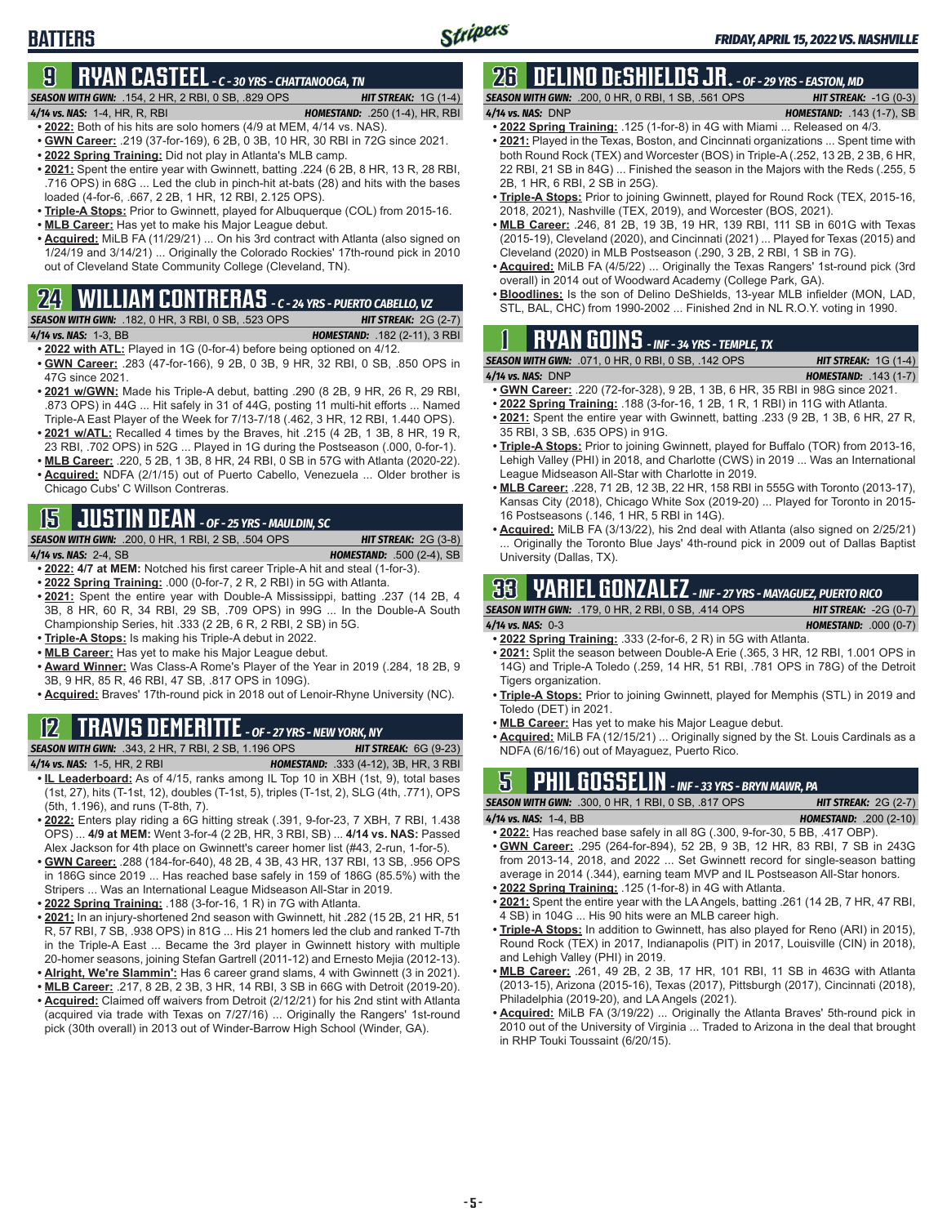# **9 RYAN CASTEEL** *- C - 30 YRS - CHATTANOOGA, TN*

### *SEASON WITH GWN:*.154, 2 HR, 2 RBI, 0 SB, .829 OPS *HIT STREAK:* 1G (1-4)

**BATTERS**

- *4/14 vs. NAS:*1-4, HR, R, RBI *HOMESTAND:* .250 (1-4), HR, RBI **• 2022:** Both of his hits are solo homers (4/9 at MEM, 4/14 vs. NAS).
- **• GWN Career:** .219 (37-for-169), 6 2B, 0 3B, 10 HR, 30 RBI in 72G since 2021.
- **• 2022 Spring Training:** Did not play in Atlanta's MLB camp.
- **• 2021:** Spent the entire year with Gwinnett, batting .224 (6 2B, 8 HR, 13 R, 28 RBI, .716 OPS) in 68G ... Led the club in pinch-hit at-bats (28) and hits with the bases loaded (4-for-6, .667, 2 2B, 1 HR, 12 RBI, 2.125 OPS).
- **• Triple-A Stops:** Prior to Gwinnett, played for Albuquerque (COL) from 2015-16.
- **• MLB Career:** Has yet to make his Major League debut.
- **• Acquired:** MiLB FA (11/29/21) ... On his 3rd contract with Atlanta (also signed on 1/24/19 and 3/14/21) ... Originally the Colorado Rockies' 17th-round pick in 2010 out of Cleveland State Community College (Cleveland, TN).

# **24 WILLIAM CONTRERAS** *- C - 24 YRS - PUERTO CABELLO, VZ*

*SEASON WITH GWN:*.182, 0 HR, 3 RBI, 0 SB, .523 OPS *HIT STREAK:* 2G (2-7)

- *4/14 vs. NAS:*1-3, BB *HOMESTAND:* .182 (2-11), 3 RBI
- **• 2022 with ATL:** Played in 1G (0-for-4) before being optioned on 4/12. **• GWN Career:** .283 (47-for-166), 9 2B, 0 3B, 9 HR, 32 RBI, 0 SB, .850 OPS in
- 47G since 2021. **• 2021 w/GWN:** Made his Triple-A debut, batting .290 (8 2B, 9 HR, 26 R, 29 RBI,
- .873 OPS) in 44G ... Hit safely in 31 of 44G, posting 11 multi-hit efforts ... Named Triple-A East Player of the Week for 7/13-7/18 (.462, 3 HR, 12 RBI, 1.440 OPS).
- **• 2021 w/ATL:** Recalled 4 times by the Braves, hit .215 (4 2B, 1 3B, 8 HR, 19 R, 23 RBI, .702 OPS) in 52G ... Played in 1G during the Postseason (.000, 0-for-1). **• MLB Career:** .220, 5 2B, 1 3B, 8 HR, 24 RBI, 0 SB in 57G with Atlanta (2020-22).
- **• Acquired:** NDFA (2/1/15) out of Puerto Cabello, Venezuela ... Older brother is Chicago Cubs' C Willson Contreras.

# **15 JUSTIN DEAN** *- OF - 25 YRS - MAULDIN, SC*

*SEASON WITH GWN:*.200, 0 HR, 1 RBI, 2 SB, .504 OPS *HIT STREAK:* 2G (3-8)

*4/14 vs. NAS:*2-4, SB *HOMESTAND:* .500 (2-4), SB

- **• 2022: 4/7 at MEM:** Notched his first career Triple-A hit and steal (1-for-3).
- **• 2022 Spring Training:** .000 (0-for-7, 2 R, 2 RBI) in 5G with Atlanta.
- **• 2021:** Spent the entire year with Double-A Mississippi, batting .237 (14 2B, 4 3B, 8 HR, 60 R, 34 RBI, 29 SB, .709 OPS) in 99G ... In the Double-A South Championship Series, hit .333 (2 2B, 6 R, 2 RBI, 2 SB) in 5G.
- **• Triple-A Stops:** Is making his Triple-A debut in 2022.
- **• MLB Career:** Has yet to make his Major League debut.
- **• Award Winner:** Was Class-A Rome's Player of the Year in 2019 (.284, 18 2B, 9 3B, 9 HR, 85 R, 46 RBI, 47 SB, .817 OPS in 109G).
- **• Acquired:** Braves' 17th-round pick in 2018 out of Lenoir-Rhyne University (NC).

# **12 TRAVIS DEMERITTE** *- OF - 27 YRS - NEW YORK, NY*

*SEASON WITH GWN:*.343, 2 HR, 7 RBI, 2 SB, 1.196 OPS *HIT STREAK:* 6G (9-23)

*4/14 vs. NAS:*1-5, HR, 2 RBI *HOMESTAND:* .333 (4-12), 3B, HR, 3 RBI

- **• IL Leaderboard:** As of 4/15, ranks among IL Top 10 in XBH (1st, 9), total bases (1st, 27), hits (T-1st, 12), doubles (T-1st, 5), triples (T-1st, 2), SLG (4th, .771), OPS (5th, 1.196), and runs (T-8th, 7).
- **• 2022:** Enters play riding a 6G hitting streak (.391, 9-for-23, 7 XBH, 7 RBI, 1.438 OPS) ... **4/9 at MEM:** Went 3-for-4 (2 2B, HR, 3 RBI, SB) ... **4/14 vs. NAS:** Passed Alex Jackson for 4th place on Gwinnett's career homer list (#43, 2-run, 1-for-5).
- **• GWN Career:** .288 (184-for-640), 48 2B, 4 3B, 43 HR, 137 RBI, 13 SB, .956 OPS in 186G since 2019 ... Has reached base safely in 159 of 186G (85.5%) with the Stripers ... Was an International League Midseason All-Star in 2019.
- **• 2022 Spring Training:** .188 (3-for-16, 1 R) in 7G with Atlanta.
- **• 2021:** In an injury-shortened 2nd season with Gwinnett, hit .282 (15 2B, 21 HR, 51 R, 57 RBI, 7 SB, .938 OPS) in 81G ... His 21 homers led the club and ranked T-7th in the Triple-A East ... Became the 3rd player in Gwinnett history with multiple 20-homer seasons, joining Stefan Gartrell (2011-12) and Ernesto Mejia (2012-13).
- **• Alright, We're Slammin':** Has 6 career grand slams, 4 with Gwinnett (3 in 2021). **• MLB Career:** .217, 8 2B, 2 3B, 3 HR, 14 RBI, 3 SB in 66G with Detroit (2019-20).
- **• Acquired:** Claimed off waivers from Detroit (2/12/21) for his 2nd stint with Atlanta (acquired via trade with Texas on 7/27/16) ... Originally the Rangers' 1st-round pick (30th overall) in 2013 out of Winder-Barrow High School (Winder, GA).

# **26 DELINO DESHIELDS JR.** *- OF - 29 YRS - EASTON, MD*

*SEASON WITH GWN:*.200, 0 HR, 0 RBI, 1 SB, .561 OPS *HIT STREAK:* -1G (0-3) *4/14 vs. NAS:*DNP *HOMESTAND:* .143 (1-7), SB

- **• 2022 Spring Training:** .125 (1-for-8) in 4G with Miami ... Released on 4/3. **• 2021:** Played in the Texas, Boston, and Cincinnati organizations ... Spent time with both Round Rock (TEX) and Worcester (BOS) in Triple-A (.252, 13 2B, 2 3B, 6 HR, 22 RBI, 21 SB in 84G) ... Finished the season in the Majors with the Reds (.255, 5 2B, 1 HR, 6 RBI, 2 SB in 25G).
- **• Triple-A Stops:** Prior to joining Gwinnett, played for Round Rock (TEX, 2015-16, 2018, 2021), Nashville (TEX, 2019), and Worcester (BOS, 2021).
- **• MLB Career:** .246, 81 2B, 19 3B, 19 HR, 139 RBI, 111 SB in 601G with Texas (2015-19), Cleveland (2020), and Cincinnati (2021) ... Played for Texas (2015) and Cleveland (2020) in MLB Postseason (.290, 3 2B, 2 RBI, 1 SB in 7G).
- **• Acquired:** MiLB FA (4/5/22) ... Originally the Texas Rangers' 1st-round pick (3rd overall) in 2014 out of Woodward Academy (College Park, GA).
- **• Bloodlines:** Is the son of Delino DeShields, 13-year MLB infielder (MON, LAD, STL, BAL, CHC) from 1990-2002 ... Finished 2nd in NL R.O.Y. voting in 1990.

# **1 RYAN GOINS** *- INF - 34 YRS - TEMPLE, TX*

- 
- *4/14 vs. NAS:*DNP *HOMESTAND:* .143 (1-7) **• GWN Career:** .220 (72-for-328), 9 2B, 1 3B, 6 HR, 35 RBI in 98G since 2021.
- **• 2022 Spring Training:** .188 (3-for-16, 1 2B, 1 R, 1 RBI) in 11G with Atlanta. **• 2021:** Spent the entire year with Gwinnett, batting .233 (9 2B, 1 3B, 6 HR, 27 R,
- 35 RBI, 3 SB, .635 OPS) in 91G.
- **• Triple-A Stops:** Prior to joining Gwinnett, played for Buffalo (TOR) from 2013-16, Lehigh Valley (PHI) in 2018, and Charlotte (CWS) in 2019 ... Was an International League Midseason All-Star with Charlotte in 2019.
- **• MLB Career:** .228, 71 2B, 12 3B, 22 HR, 158 RBI in 555G with Toronto (2013-17), Kansas City (2018), Chicago White Sox (2019-20) ... Played for Toronto in 2015- 16 Postseasons (.146, 1 HR, 5 RBI in 14G).
- **• Acquired:** MiLB FA (3/13/22), his 2nd deal with Atlanta (also signed on 2/25/21) Originally the Toronto Blue Jays' 4th-round pick in 2009 out of Dallas Baptist University (Dallas, TX).

# **33 YARIEL GONZALEZ** *- INF - 27 YRS - MAYAGUEZ, PUERTO RICO*

*SEASON WITH GWN:*.179, 0 HR, 2 RBI, 0 SB, .414 OPS *HIT STREAK:* -2G (0-7) *4/14 vs. NAS:*0-3 *HOMESTAND:* .000 (0-7)

- **• 2022 Spring Training:** .333 (2-for-6, 2 R) in 5G with Atlanta.
- **• 2021:** Split the season between Double-A Erie (.365, 3 HR, 12 RBI, 1.001 OPS in 14G) and Triple-A Toledo (.259, 14 HR, 51 RBI, .781 OPS in 78G) of the Detroit Tigers organization.
- **• Triple-A Stops:** Prior to joining Gwinnett, played for Memphis (STL) in 2019 and Toledo (DET) in 2021.
- **• MLB Career:** Has yet to make his Major League debut.
- **• Acquired:** MiLB FA (12/15/21) ... Originally signed by the St. Louis Cardinals as a NDFA (6/16/16) out of Mayaguez, Puerto Rico.

# **5 PHIL GOSSELIN** *- INF - 33 YRS - BRYN MAWR, PA*

*SEASON WITH GWN:*.300, 0 HR, 1 RBI, 0 SB, .817 OPS *HIT STREAK:* 2G (2-7) *4/14 vs. NAS:*1-4, BB *HOMESTAND:* .200 (2-10)

- **• 2022:** Has reached base safely in all 8G (.300, 9-for-30, 5 BB, .417 OBP). **• GWN Career:** .295 (264-for-894), 52 2B, 9 3B, 12 HR, 83 RBI, 7 SB in 243G from 2013-14, 2018, and 2022 ... Set Gwinnett record for single-season batting average in 2014 (.344), earning team MVP and IL Postseason All-Star honors.
- **• 2022 Spring Training:** .125 (1-for-8) in 4G with Atlanta.
- **• 2021:** Spent the entire year with the LA Angels, batting .261 (14 2B, 7 HR, 47 RBI, 4 SB) in 104G ... His 90 hits were an MLB career high.
- **• Triple-A Stops:** In addition to Gwinnett, has also played for Reno (ARI) in 2015), Round Rock (TEX) in 2017, Indianapolis (PIT) in 2017, Louisville (CIN) in 2018), and Lehigh Valley (PHI) in 2019.
- **• MLB Career:** .261, 49 2B, 2 3B, 17 HR, 101 RBI, 11 SB in 463G with Atlanta (2013-15), Arizona (2015-16), Texas (2017), Pittsburgh (2017), Cincinnati (2018), Philadelphia (2019-20), and LA Angels (2021).
- **• Acquired:** MiLB FA (3/19/22) ... Originally the Atlanta Braves' 5th-round pick in 2010 out of the University of Virginia ... Traded to Arizona in the deal that brought in RHP Touki Toussaint (6/20/15).

*SEASON WITH GWN:*.071, 0 HR, 0 RBI, 0 SB, .142 OPS *HIT STREAK:* 1G (1-4)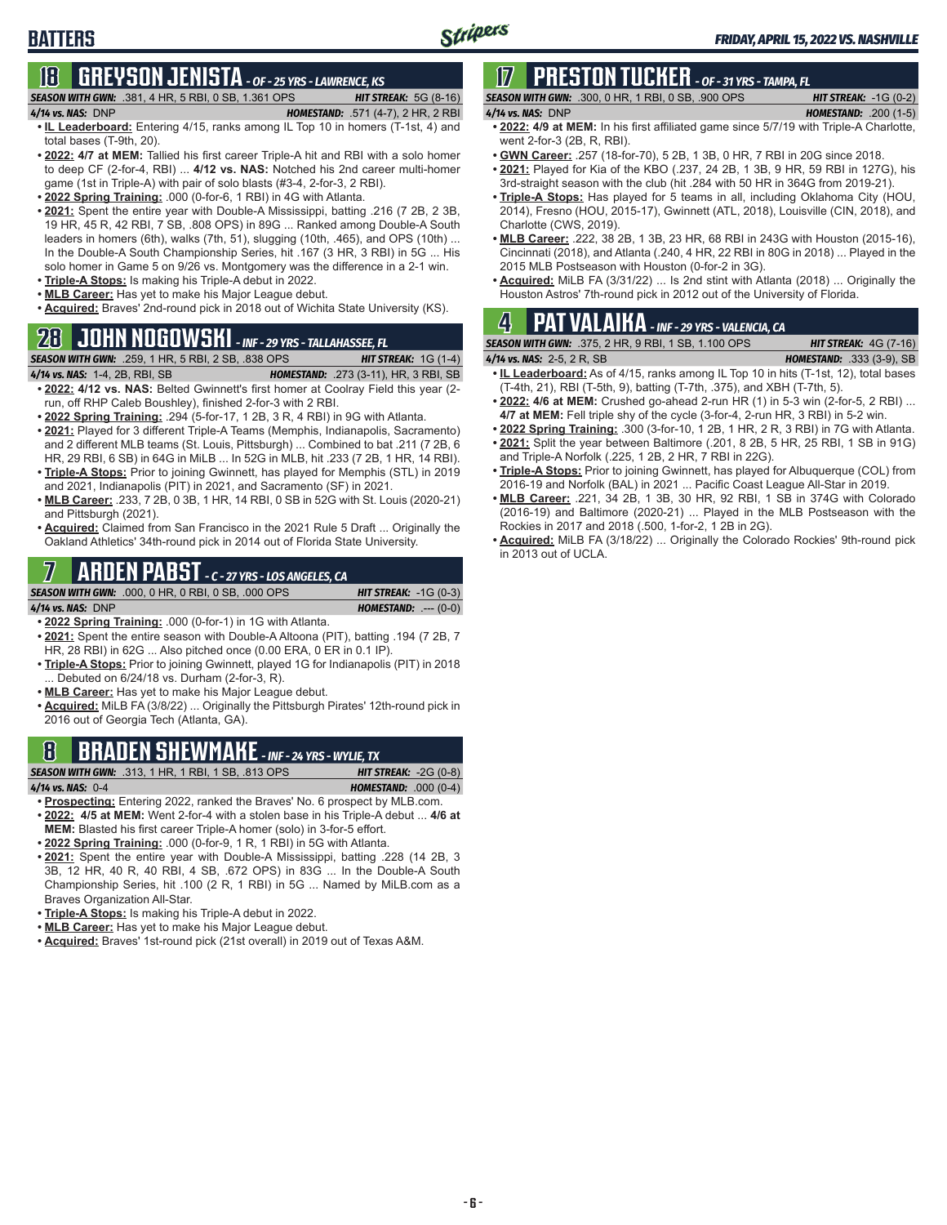# **18 GREYSON JENISTA** *- OF - 25 YRS - LAWRENCE, KS*

*SEASON WITH GWN:*.381, 4 HR, 5 RBI, 0 SB, 1.361 OPS *HIT STREAK:* 5G (8-16)

**BATTERS**

- *4/14 vs. NAS:*DNP *HOMESTAND:* .571 (4-7), 2 HR, 2 RBI **• IL Leaderboard:** Entering 4/15, ranks among IL Top 10 in homers (T-1st, 4) and total bases (T-9th, 20).
- **• 2022: 4/7 at MEM:** Tallied his first career Triple-A hit and RBI with a solo homer to deep CF (2-for-4, RBI) ... **4/12 vs. NAS:** Notched his 2nd career multi-homer game (1st in Triple-A) with pair of solo blasts (#3-4, 2-for-3, 2 RBI).
- **• 2022 Spring Training:** .000 (0-for-6, 1 RBI) in 4G with Atlanta.
- **• 2021:** Spent the entire year with Double-A Mississippi, batting .216 (7 2B, 2 3B, 19 HR, 45 R, 42 RBI, 7 SB, .808 OPS) in 89G ... Ranked among Double-A South leaders in homers (6th), walks (7th, 51), slugging (10th, .465), and OPS (10th) ... In the Double-A South Championship Series, hit .167 (3 HR, 3 RBI) in 5G ... His solo homer in Game 5 on 9/26 vs. Montgomery was the difference in a 2-1 win.
- **• Triple-A Stops:** Is making his Triple-A debut in 2022.
- **• MLB Career:** Has yet to make his Major League debut.
- **• Acquired:** Braves' 2nd-round pick in 2018 out of Wichita State University (KS).

# **28 JOHN NOGOWSKI** *- INF - 29 YRS - TALLAHASSEE, FL*

#### *SEASON WITH GWN:*.259, 1 HR, 5 RBI, 2 SB, .838 OPS *HIT STREAK:* 1G (1-4)

- *4/14 vs. NAS:*1-4, 2B, RBI, SB *HOMESTAND:* .273 (3-11), HR, 3 RBI, SB **• 2022: 4/12 vs. NAS:** Belted Gwinnett's first homer at Coolray Field this year (2 run, off RHP Caleb Boushley), finished 2-for-3 with 2 RBI.
- **• 2022 Spring Training:** .294 (5-for-17, 1 2B, 3 R, 4 RBI) in 9G with Atlanta.
- **• 2021:** Played for 3 different Triple-A Teams (Memphis, Indianapolis, Sacramento) and 2 different MLB teams (St. Louis, Pittsburgh) ... Combined to bat .211 (7 2B, 6 HR, 29 RBI, 6 SB) in 64G in MiLB ... In 52G in MLB, hit .233 (7 2B, 1 HR, 14 RBI).
- **• Triple-A Stops:** Prior to joining Gwinnett, has played for Memphis (STL) in 2019 and 2021, Indianapolis (PIT) in 2021, and Sacramento (SF) in 2021.
- **• MLB Career:** .233, 7 2B, 0 3B, 1 HR, 14 RBI, 0 SB in 52G with St. Louis (2020-21) and Pittsburgh (2021).
- **• Acquired:** Claimed from San Francisco in the 2021 Rule 5 Draft ... Originally the Oakland Athletics' 34th-round pick in 2014 out of Florida State University.

# **7 ARDEN PABST** *- C - 27 YRS - LOS ANGELES, CA*

*SEASON WITH GWN:*.000, 0 HR, 0 RBI, 0 SB, .000 OPS *HIT STREAK:* -1G (0-3)

*4/14 vs. NAS:*DNP *HOMESTAND:* .--- (0-0)

- **• 2022 Spring Training:** .000 (0-for-1) in 1G with Atlanta. **• 2021:** Spent the entire season with Double-A Altoona (PIT), batting .194 (7 2B, 7 HR, 28 RBI) in 62G ... Also pitched once (0.00 ERA, 0 ER in 0.1 IP).
- **• Triple-A Stops:** Prior to joining Gwinnett, played 1G for Indianapolis (PIT) in 2018 ... Debuted on 6/24/18 vs. Durham (2-for-3, R).
- **• MLB Career:** Has yet to make his Major League debut.
- **• Acquired:** MiLB FA (3/8/22) ... Originally the Pittsburgh Pirates' 12th-round pick in 2016 out of Georgia Tech (Atlanta, GA).

# **8 BRADEN SHEWMAKE** *- INF - 24 YRS - WYLIE, TX*

*SEASON WITH GWN:*.313, 1 HR, 1 RBI, 1 SB, .813 OPS *HIT STREAK:* -2G (0-8) *4/14 vs. NAS:*0-4 *HOMESTAND:* .000 (0-4)

- **• Prospecting:** Entering 2022, ranked the Braves' No. 6 prospect by MLB.com.
- **• 2022: 4/5 at MEM:** Went 2-for-4 with a stolen base in his Triple-A debut ... **4/6 at MEM:** Blasted his first career Triple-A homer (solo) in 3-for-5 effort.
- **• 2022 Spring Training:** .000 (0-for-9, 1 R, 1 RBI) in 5G with Atlanta.
- **• 2021:** Spent the entire year with Double-A Mississippi, batting .228 (14 2B, 3 3B, 12 HR, 40 R, 40 RBI, 4 SB, .672 OPS) in 83G ... In the Double-A South Championship Series, hit .100 (2 R, 1 RBI) in 5G ... Named by MiLB.com as a Braves Organization All-Star.
- **• Triple-A Stops:** Is making his Triple-A debut in 2022.
- **• MLB Career:** Has yet to make his Major League debut.
- **• Acquired:** Braves' 1st-round pick (21st overall) in 2019 out of Texas A&M.

# **17 PRESTON TUCKER** *- OF - 31 YRS - TAMPA, FL*

| <b>SEASON WITH GWN:</b> .300, 0 HR, 1 RBI, 0 SB, .900 OPS | <b>HIT STREAK:</b> $-1G(0-2)$  |
|-----------------------------------------------------------|--------------------------------|
| 4/14 vs. NAS: DNP                                         | <b>HOMESTAND:</b> .200 $(1-5)$ |
|                                                           |                                |

- **• 2022: 4/9 at MEM:** In his first affiliated game since 5/7/19 with Triple-A Charlotte, went 2-for-3 (2B, R, RBI).
- **• GWN Career:** .257 (18-for-70), 5 2B, 1 3B, 0 HR, 7 RBI in 20G since 2018.
- **• 2021:** Played for Kia of the KBO (.237, 24 2B, 1 3B, 9 HR, 59 RBI in 127G), his 3rd-straight season with the club (hit .284 with 50 HR in 364G from 2019-21).
- **• Triple-A Stops:** Has played for 5 teams in all, including Oklahoma City (HOU, 2014), Fresno (HOU, 2015-17), Gwinnett (ATL, 2018), Louisville (CIN, 2018), and Charlotte (CWS, 2019).
- **• MLB Career:** .222, 38 2B, 1 3B, 23 HR, 68 RBI in 243G with Houston (2015-16), Cincinnati (2018), and Atlanta (.240, 4 HR, 22 RBI in 80G in 2018) ... Played in the 2015 MLB Postseason with Houston (0-for-2 in 3G).
- **• Acquired:** MiLB FA (3/31/22) ... Is 2nd stint with Atlanta (2018) ... Originally the Houston Astros' 7th-round pick in 2012 out of the University of Florida.

# **4 PAT VALAIKA** *- INF - 29 YRS - VALENCIA, CA*

*SEASON WITH GWN:*.375, 2 HR, 9 RBI, 1 SB, 1.100 OPS *HIT STREAK:* 4G (7-16) *4/14 vs. NAS:*2-5, 2 R, SB *HOMESTAND:* .333 (3-9), SB

- **• IL Leaderboard:** As of 4/15, ranks among IL Top 10 in hits (T-1st, 12), total bases (T-4th, 21), RBI (T-5th, 9), batting (T-7th, .375), and XBH (T-7th, 5).
- **• 2022: 4/6 at MEM:** Crushed go-ahead 2-run HR (1) in 5-3 win (2-for-5, 2 RBI) ... **4/7 at MEM:** Fell triple shy of the cycle (3-for-4, 2-run HR, 3 RBI) in 5-2 win.
- **• 2022 Spring Training:** .300 (3-for-10, 1 2B, 1 HR, 2 R, 3 RBI) in 7G with Atlanta.
- **• 2021:** Split the year between Baltimore (.201, 8 2B, 5 HR, 25 RBI, 1 SB in 91G) and Triple-A Norfolk (.225, 1 2B, 2 HR, 7 RBI in 22G).
- **• Triple-A Stops:** Prior to joining Gwinnett, has played for Albuquerque (COL) from 2016-19 and Norfolk (BAL) in 2021 ... Pacific Coast League All-Star in 2019.
- **• MLB Career:** .221, 34 2B, 1 3B, 30 HR, 92 RBI, 1 SB in 374G with Colorado (2016-19) and Baltimore (2020-21) ... Played in the MLB Postseason with the Rockies in 2017 and 2018 (.500, 1-for-2, 1 2B in 2G).
- **• Acquired:** MiLB FA (3/18/22) ... Originally the Colorado Rockies' 9th-round pick in 2013 out of UCLA.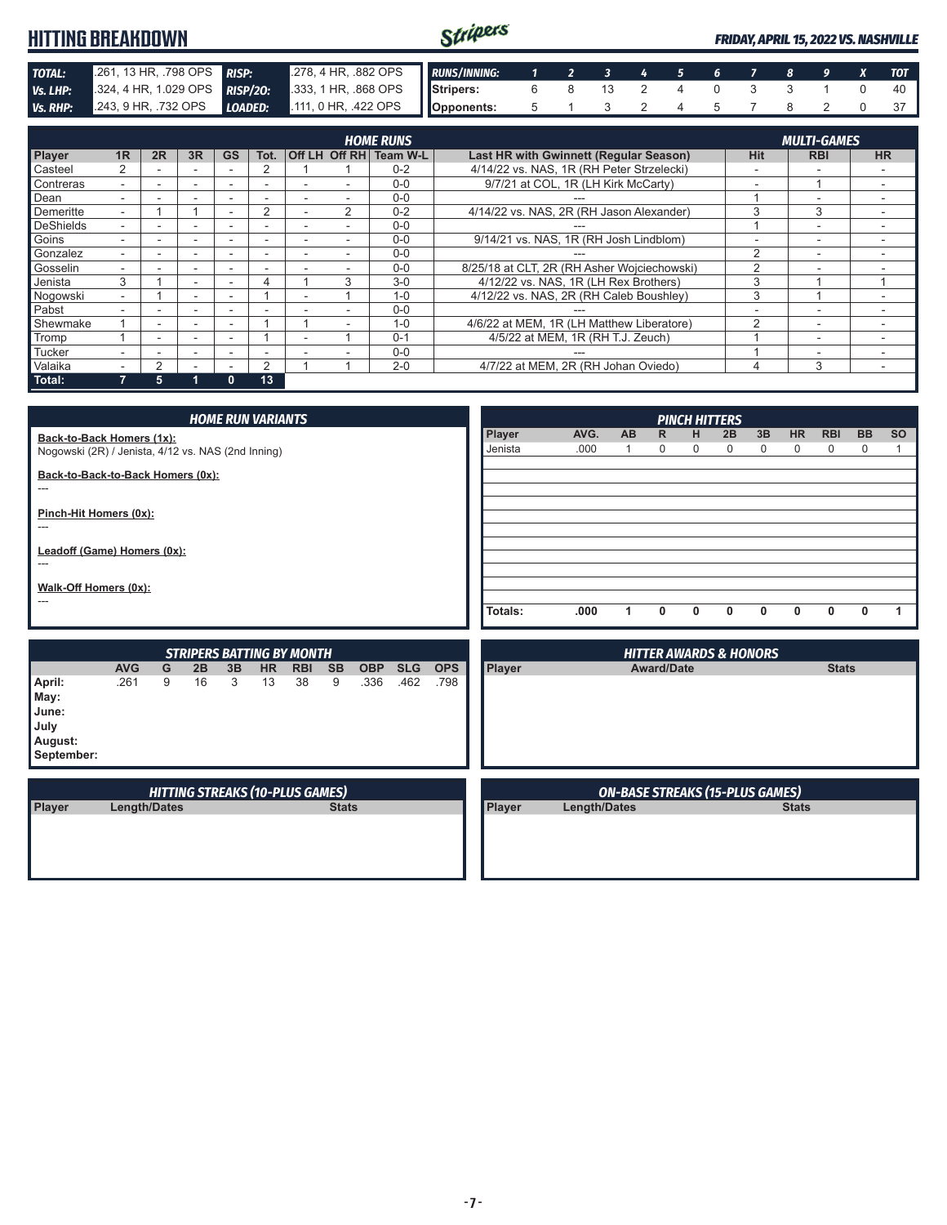|                 | HITTING BREAKDOWN             |                                        | Stripers   |  |                         |  |  |  | <b>FRIDAY, APRIL 15, 2022 VS. NASHVILLE</b> |
|-----------------|-------------------------------|----------------------------------------|------------|--|-------------------------|--|--|--|---------------------------------------------|
| <b>TOTAL:</b>   | 261, 13 HR, 798 OPS RISP:     | 278, 4 HR, 882 OPS <b>RUNS/INNING:</b> |            |  | 1 2 3 4 5 6 7 8 9 X TOT |  |  |  |                                             |
| Vs. LHP:        | 324, 4 HR, 1.029 OPS RISP/20: | 333, 1 HR, 868 OPS Stripers:           |            |  | 6 8 13 2                |  |  |  |                                             |
| <b>Vs. RHP:</b> | 243, 9 HR, 732 OPS LOADED:    | $111, 0$ HR, .422 OPS                  | Opponents: |  |                         |  |  |  |                                             |

|                  | <b>HOME RUNS</b><br><b>MULTI-GAMES</b> |    |                          |           |          |  |               |          |                                             |               |                          |           |
|------------------|----------------------------------------|----|--------------------------|-----------|----------|--|---------------|----------|---------------------------------------------|---------------|--------------------------|-----------|
| Player           | 1R                                     | 2R | 3R                       | <b>GS</b> | Tot.     |  | Off LH Off RH | Team W-L | Last HR with Gwinnett (Regular Season)      | <b>Hit</b>    | <b>RBI</b>               | <b>HR</b> |
| Casteel          |                                        |    |                          |           |          |  |               | $0 - 2$  | 4/14/22 vs. NAS. 1R (RH Peter Strzelecki)   |               |                          |           |
| Contreras        |                                        |    | $\overline{\phantom{0}}$ |           |          |  |               | $0 - 0$  | 9/7/21 at COL, 1R (LH Kirk McCarty)         | -             |                          |           |
| Dean             |                                        |    |                          |           |          |  |               | $0 - 0$  |                                             |               |                          |           |
| Demeritte        |                                        |    |                          |           | $\Omega$ |  | $\mathcal{P}$ | $0 - 2$  | 4/14/22 vs. NAS, 2R (RH Jason Alexander)    | 3             | 3                        |           |
| <b>DeShields</b> |                                        |    |                          |           |          |  |               | $0 - 0$  |                                             |               | $\overline{\phantom{a}}$ |           |
| Goins            |                                        |    |                          |           | -        |  |               | $0 - 0$  | 9/14/21 vs. NAS, 1R (RH Josh Lindblom)      |               | $\overline{\phantom{0}}$ |           |
| Gonzalez         |                                        |    |                          |           |          |  |               | $0 - 0$  |                                             | $\mathcal{P}$ | -                        |           |
| Gosselin         |                                        |    |                          |           |          |  |               | $0 - 0$  | 8/25/18 at CLT, 2R (RH Asher Wojciechowski) | $\mathcal{P}$ |                          |           |
| Jenista          | 3                                      |    |                          |           | 4        |  | 3             | $3-0$    | 4/12/22 vs. NAS. 1R (LH Rex Brothers)       | 3             |                          |           |
| Nogowski         |                                        |    |                          |           |          |  |               | $1 - 0$  | 4/12/22 vs. NAS, 2R (RH Caleb Boushley)     | 3             |                          |           |
| Pabst            |                                        |    |                          |           |          |  |               | $0 - 0$  |                                             |               |                          |           |
| Shewmake         |                                        |    |                          |           |          |  |               | $1 - 0$  | 4/6/22 at MEM, 1R (LH Matthew Liberatore)   | $\mathcal{D}$ | $\overline{\phantom{a}}$ |           |
| Tromp            |                                        |    |                          |           |          |  |               | $0 - 1$  | 4/5/22 at MEM, 1R (RH T.J. Zeuch)           |               | $\overline{\phantom{a}}$ |           |
| Tucker           |                                        |    |                          |           |          |  |               | $0 - 0$  |                                             |               |                          |           |
| Valaika          |                                        | っ  |                          |           | 2        |  |               | $2 - 0$  | 4/7/22 at MEM, 2R (RH Johan Oviedo)         |               | 3                        |           |
| Total:           |                                        | 5  |                          | 0         | 13       |  |               |          |                                             |               |                          |           |

|                                                                                 |            |   |    |    | <b>HOME RUN VARIANTS</b>         |            |           |            |            |            |                   |              |    |                             |        | <b>PINCH HITTERS</b>              |                   |                |                 |                          |           |
|---------------------------------------------------------------------------------|------------|---|----|----|----------------------------------|------------|-----------|------------|------------|------------|-------------------|--------------|----|-----------------------------|--------|-----------------------------------|-------------------|----------------|-----------------|--------------------------|-----------|
| Back-to-Back Homers (1x):<br>Nogowski (2R) / Jenista, 4/12 vs. NAS (2nd Inning) |            |   |    |    |                                  |            |           |            |            |            | Player<br>Jenista | AVG.<br>.000 | AB | $\mathsf{R}$<br>$\mathbf 0$ | н<br>0 | 2B<br>0                           | 3B<br>$\mathbf 0$ | <b>HR</b><br>0 | <b>RBI</b><br>0 | <b>BB</b><br>$\mathbf 0$ | <b>SO</b> |
| Back-to-Back-to-Back Homers (0x):<br>---                                        |            |   |    |    |                                  |            |           |            |            |            |                   |              |    |                             |        |                                   |                   |                |                 |                          |           |
| Pinch-Hit Homers (0x):<br>---                                                   |            |   |    |    |                                  |            |           |            |            |            |                   |              |    |                             |        |                                   |                   |                |                 |                          |           |
| Leadoff (Game) Homers (0x):<br>---                                              |            |   |    |    |                                  |            |           |            |            |            |                   |              |    |                             |        |                                   |                   |                |                 |                          |           |
| Walk-Off Homers (0x):<br>---                                                    |            |   |    |    |                                  |            |           |            |            |            |                   |              |    |                             |        |                                   |                   |                |                 |                          |           |
|                                                                                 |            |   |    |    |                                  |            |           |            |            |            | Totals:           | .000         | 1  | $\mathbf{0}$                | 0      | $\mathbf{0}$                      | $\mathbf{0}$      | $\mathbf{0}$   | $\mathbf{0}$    | 0                        | 1         |
|                                                                                 |            |   |    |    | <b>STRIPERS BATTING BY MONTH</b> |            |           |            |            |            |                   |              |    |                             |        | <b>HITTER AWARDS &amp; HONORS</b> |                   |                |                 |                          |           |
|                                                                                 | <b>AVG</b> | G | 2B | 3B | <b>HR</b>                        | <b>RBI</b> | <b>SB</b> | <b>OBP</b> | <b>SLG</b> | <b>OPS</b> | Player            |              |    | <b>Award/Date</b>           |        |                                   |                   |                | <b>Stats</b>    |                          |           |
| April:<br>May:<br>June:<br>July<br>August:<br>September:                        | .261       | 9 | 16 | 3  | 13                               | 38         | 9         | .336       | .462       | .798       |                   |              |    |                             |        |                                   |                   |                |                 |                          |           |

| Player<br><b>Stats</b><br>Length/Dates |        |              |              |
|----------------------------------------|--------|--------------|--------------|
|                                        | Player | Length/Dates | <b>Stats</b> |
|                                        |        |              |              |
|                                        |        |              |              |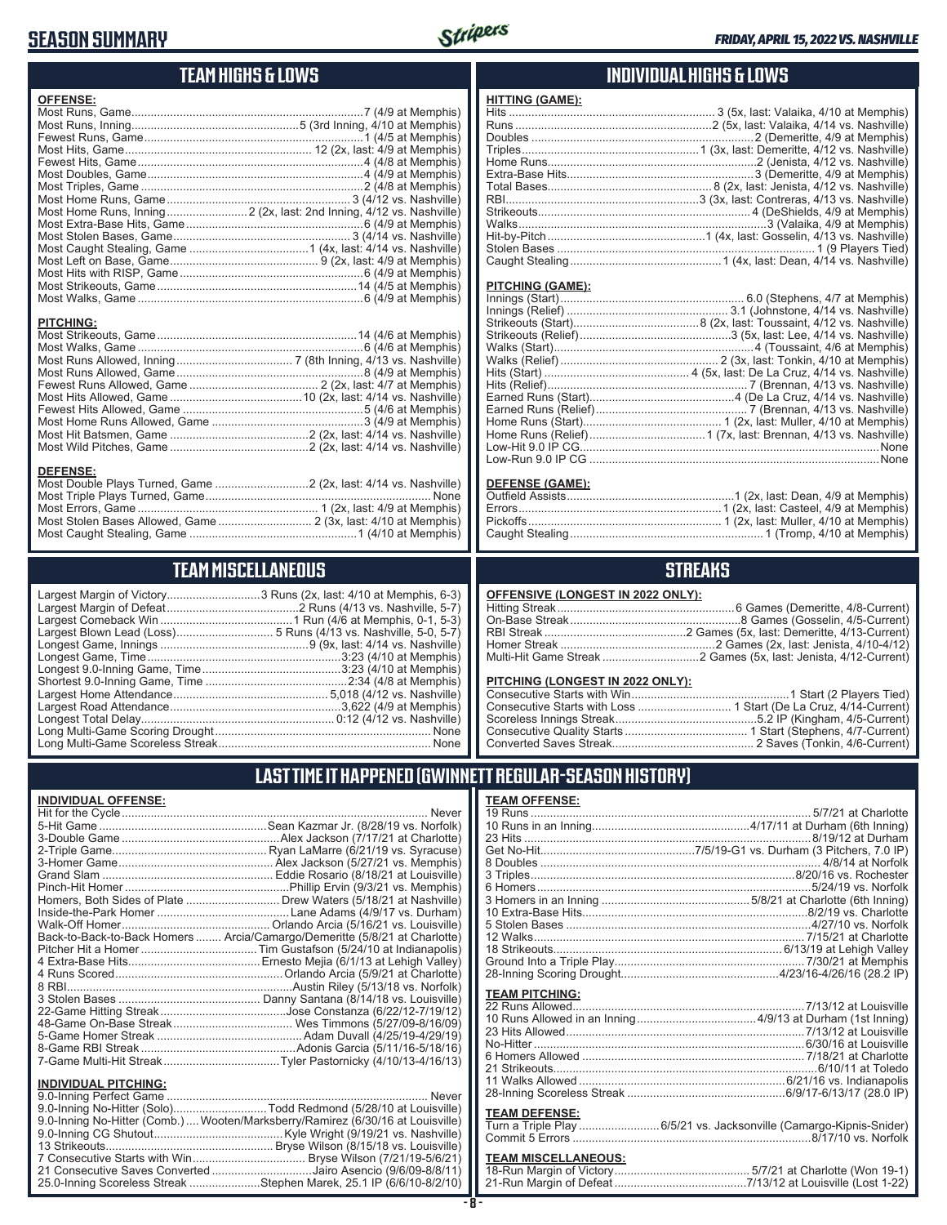## **SEASON SUMMARY**



## **TEAM HIGHS & LOWS**

| <b>OFFENSE:</b>  |                                                                                        |
|------------------|----------------------------------------------------------------------------------------|
|                  |                                                                                        |
|                  |                                                                                        |
|                  |                                                                                        |
|                  |                                                                                        |
|                  |                                                                                        |
|                  |                                                                                        |
|                  |                                                                                        |
|                  |                                                                                        |
|                  |                                                                                        |
|                  |                                                                                        |
|                  |                                                                                        |
|                  |                                                                                        |
|                  |                                                                                        |
|                  |                                                                                        |
|                  |                                                                                        |
|                  |                                                                                        |
|                  |                                                                                        |
| <b>PITCHING:</b> |                                                                                        |
|                  |                                                                                        |
|                  |                                                                                        |
|                  | Most Runs Allowed Inning (2008) 22 22 22 23 24 25 26 27 (8th Inning 4/13 vs Nashville) |

#### **DEFENSE:**

# **TEAM MISCELLANEOUS**

| Largest Margin of Victory3 Runs (2x, last: 4/10 at Memphis, 6-3) |  |
|------------------------------------------------------------------|--|
|                                                                  |  |
|                                                                  |  |
|                                                                  |  |
|                                                                  |  |
|                                                                  |  |
|                                                                  |  |
|                                                                  |  |
|                                                                  |  |
|                                                                  |  |
|                                                                  |  |
|                                                                  |  |
|                                                                  |  |

### **INDIVIDUAL HIGHS & LOWS**

| <b>HITTING (GAME):</b> |  |
|------------------------|--|
|                        |  |
|                        |  |
|                        |  |
|                        |  |
|                        |  |
|                        |  |
|                        |  |
|                        |  |
|                        |  |
|                        |  |
|                        |  |
|                        |  |
|                        |  |

#### **PITCHING (GAME):**

| Low-Run 9.0 IP CG …………………………………………………………………………………None |
|-------------------------------------------------------|
|                                                       |

#### **DEFENSE (GAME):**

### **STREAKS**

#### **OFFENSIVE (LONGEST IN 2022 ONLY):**

#### **PITCHING (LONGEST IN 2022 ONLY):**

### **LAST TIME IT HAPPENED (GWINNETT REGULAR-SEASON HISTORY)**

#### **INDIVIDUAL OFFENSE:**

|                             | Homers, Both Sides of Plate  Drew Waters (5/18/21 at Nashville)            |
|-----------------------------|----------------------------------------------------------------------------|
|                             |                                                                            |
|                             |                                                                            |
|                             | Back-to-Back-to-Back Homers  Arcia/Camargo/Demeritte (5/8/21 at Charlotte) |
|                             |                                                                            |
|                             |                                                                            |
|                             |                                                                            |
|                             |                                                                            |
|                             |                                                                            |
|                             |                                                                            |
|                             |                                                                            |
|                             |                                                                            |
|                             |                                                                            |
|                             |                                                                            |
| <b>INDIVIDUAL PITCHING:</b> |                                                                            |
|                             |                                                                            |

| 9.0-Inning No-Hitter (Solo)Todd Redmond (5/28/10 at Louisville)                  |  |
|----------------------------------------------------------------------------------|--|
| 9.0-Inning No-Hitter (Comb.)…. Wooten/Marksberry/Ramirez (6/30/16 at Louisville) |  |
|                                                                                  |  |
|                                                                                  |  |
|                                                                                  |  |
| 21 Consecutive Saves Converted Jairo Asencio (9/6/09-8/8/11)                     |  |
| 25.0-Inning Scoreless Streak Stephen Marek, 25.1 IP (6/6/10-8/2/10)              |  |
|                                                                                  |  |

### **TEAM OFFENSE:**

| <b>TEAM PITCHING:</b> |                                                                     |
|-----------------------|---------------------------------------------------------------------|
|                       |                                                                     |
|                       |                                                                     |
|                       |                                                                     |
|                       |                                                                     |
|                       |                                                                     |
|                       |                                                                     |
|                       |                                                                     |
|                       |                                                                     |
|                       |                                                                     |
| <b>TEAM DEFENSE:</b>  |                                                                     |
|                       | Turn a Triple Play  6/5/21 vs. Jacksonville (Camargo-Kipnis-Snider) |
|                       |                                                                     |

# **TEAM MISCELLANEOUS:**<br>18-Run Margin of Victory....

| 21-Run Margin of Defeat…………………………………7/13/12 at Louisville (Lost 1-22) |  |  |
|-----------------------------------------------------------------------|--|--|